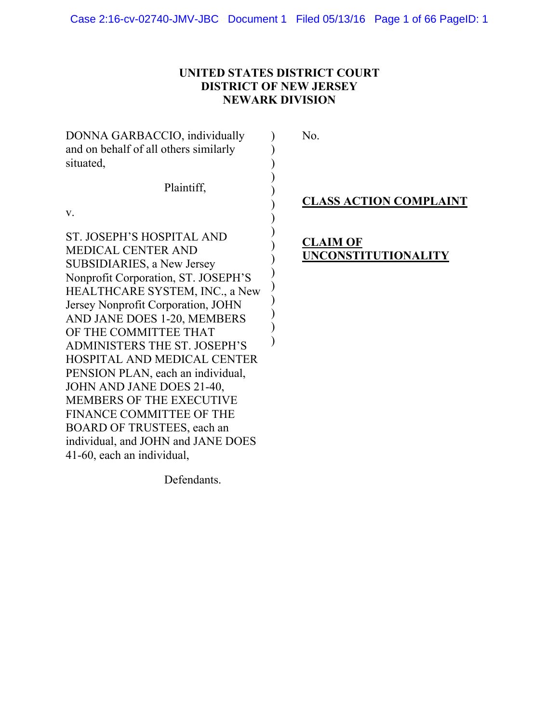### **UNITED STATES DISTRICT COURT DISTRICT OF NEW JERSEY NEWARK DIVISION**

) ) ) )  $\mathcal{L}$  $\overline{)}$  $\overline{)}$  $\overline{)}$  $\overline{)}$ ) )  $\mathcal{L}$ ) ) ) )

DONNA GARBACCIO, individually and on behalf of all others similarly situated,

Plaintiff,

v.

ST. JOSEPH'S HOSPITAL AND MEDICAL CENTER AND SUBSIDIARIES, a New Jersey Nonprofit Corporation, ST. JOSEPH'S HEALTHCARE SYSTEM, INC., a New Jersey Nonprofit Corporation, JOHN AND JANE DOES 1-20, MEMBERS OF THE COMMITTEE THAT ADMINISTERS THE ST. JOSEPH'S HOSPITAL AND MEDICAL CENTER PENSION PLAN, each an individual, JOHN AND JANE DOES 21-40, MEMBERS OF THE EXECUTIVE FINANCE COMMITTEE OF THE BOARD OF TRUSTEES, each an individual, and JOHN and JANE DOES 41-60, each an individual,

Defendants.

No.

### **CLASS ACTION COMPLAINT**

**CLAIM OF UNCONSTITUTIONALITY**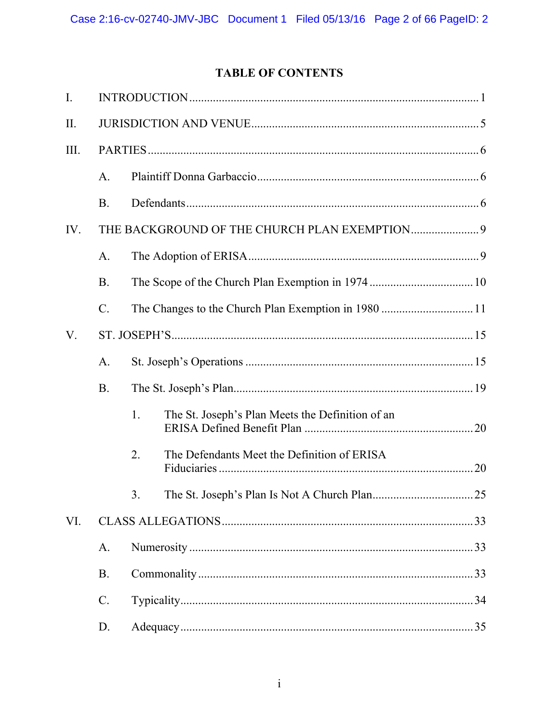## **TABLE OF CONTENTS**

| $\mathbf{I}$ . |                 |                                                        |  |  |
|----------------|-----------------|--------------------------------------------------------|--|--|
| Π.             |                 |                                                        |  |  |
| III.           |                 |                                                        |  |  |
|                | A.              |                                                        |  |  |
|                | <b>B</b> .      |                                                        |  |  |
| IV.            |                 |                                                        |  |  |
|                | A.              |                                                        |  |  |
|                | <b>B</b> .      |                                                        |  |  |
|                | $\mathcal{C}$ . |                                                        |  |  |
| V.             |                 |                                                        |  |  |
|                | A.              |                                                        |  |  |
|                | <b>B.</b>       |                                                        |  |  |
|                |                 | The St. Joseph's Plan Meets the Definition of an<br>1. |  |  |
|                |                 | 2.<br>The Defendants Meet the Definition of ERISA      |  |  |
|                |                 | 3.                                                     |  |  |
| VI.            |                 |                                                        |  |  |
|                | A.              |                                                        |  |  |
|                | <b>B.</b>       |                                                        |  |  |
|                | $C$ .           |                                                        |  |  |
|                | D.              |                                                        |  |  |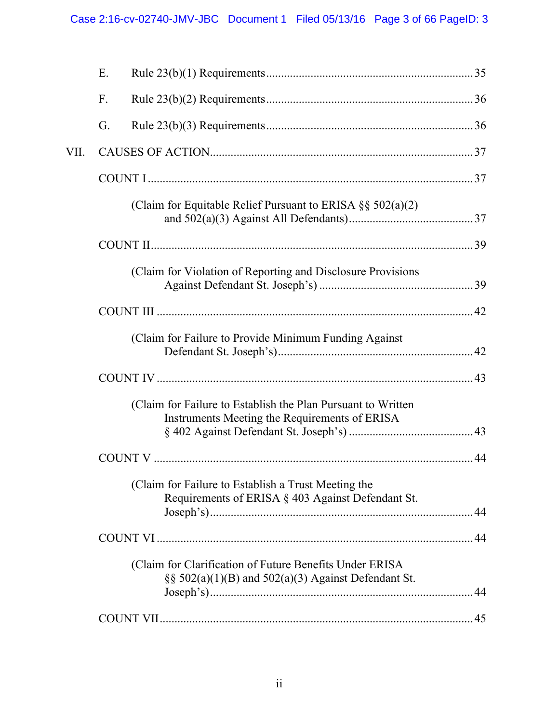|      | Ε. |                                                                                                                      |  |
|------|----|----------------------------------------------------------------------------------------------------------------------|--|
|      | F. |                                                                                                                      |  |
|      | G. |                                                                                                                      |  |
| VII. |    |                                                                                                                      |  |
|      |    |                                                                                                                      |  |
|      |    | (Claim for Equitable Relief Pursuant to ERISA $\S$ § 502(a)(2)                                                       |  |
|      |    |                                                                                                                      |  |
|      |    | (Claim for Violation of Reporting and Disclosure Provisions)                                                         |  |
|      |    |                                                                                                                      |  |
|      |    | (Claim for Failure to Provide Minimum Funding Against                                                                |  |
|      |    |                                                                                                                      |  |
|      |    | (Claim for Failure to Establish the Plan Pursuant to Written<br>Instruments Meeting the Requirements of ERISA        |  |
|      |    |                                                                                                                      |  |
|      |    | (Claim for Failure to Establish a Trust Meeting the<br>Requirements of ERISA § 403 Against Defendant St.             |  |
|      |    |                                                                                                                      |  |
|      |    | (Claim for Clarification of Future Benefits Under ERISA<br>$\S\S 502(a)(1)(B)$ and $502(a)(3)$ Against Defendant St. |  |
|      |    |                                                                                                                      |  |
|      |    |                                                                                                                      |  |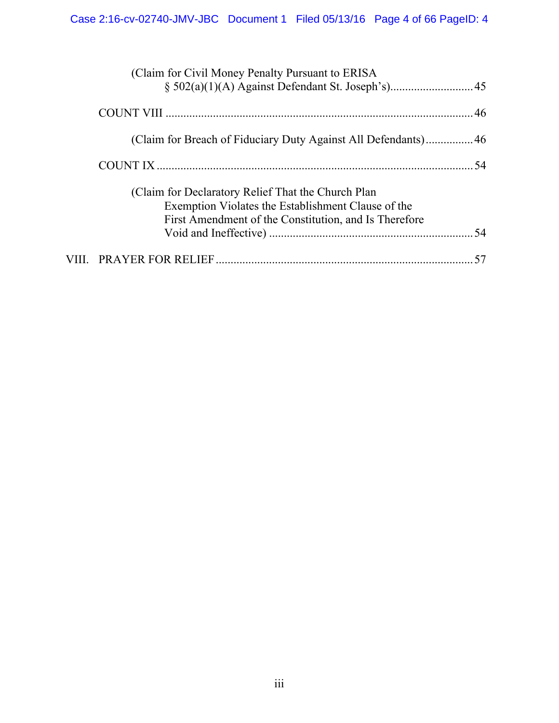| (Claim for Civil Money Penalty Pursuant to ERISA)                                                                                                                 |    |
|-------------------------------------------------------------------------------------------------------------------------------------------------------------------|----|
|                                                                                                                                                                   |    |
| (Claim for Breach of Fiduciary Duty Against All Defendants)46                                                                                                     |    |
|                                                                                                                                                                   |    |
| (Claim for Declaratory Relief That the Church Plan<br>Exemption Violates the Establishment Clause of the<br>First Amendment of the Constitution, and Is Therefore | 54 |
|                                                                                                                                                                   |    |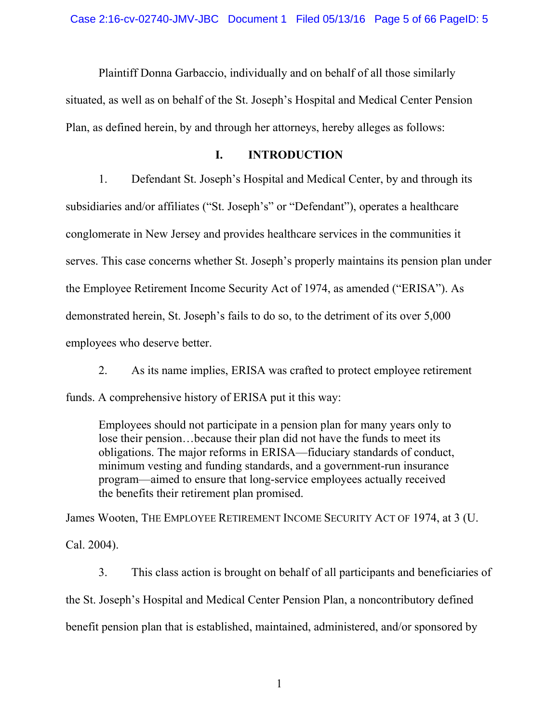Plaintiff Donna Garbaccio, individually and on behalf of all those similarly situated, as well as on behalf of the St. Joseph's Hospital and Medical Center Pension Plan, as defined herein, by and through her attorneys, hereby alleges as follows:

### **I. INTRODUCTION**

1. Defendant St. Joseph's Hospital and Medical Center, by and through its subsidiaries and/or affiliates ("St. Joseph's" or "Defendant"), operates a healthcare conglomerate in New Jersey and provides healthcare services in the communities it serves. This case concerns whether St. Joseph's properly maintains its pension plan under the Employee Retirement Income Security Act of 1974, as amended ("ERISA"). As demonstrated herein, St. Joseph's fails to do so, to the detriment of its over 5,000 employees who deserve better.

2. As its name implies, ERISA was crafted to protect employee retirement funds. A comprehensive history of ERISA put it this way:

Employees should not participate in a pension plan for many years only to lose their pension…because their plan did not have the funds to meet its obligations. The major reforms in ERISA—fiduciary standards of conduct, minimum vesting and funding standards, and a government-run insurance program—aimed to ensure that long-service employees actually received the benefits their retirement plan promised.

James Wooten, THE EMPLOYEE RETIREMENT INCOME SECURITY ACT OF 1974, at 3 (U. Cal. 2004).

3. This class action is brought on behalf of all participants and beneficiaries of the St. Joseph's Hospital and Medical Center Pension Plan, a noncontributory defined benefit pension plan that is established, maintained, administered, and/or sponsored by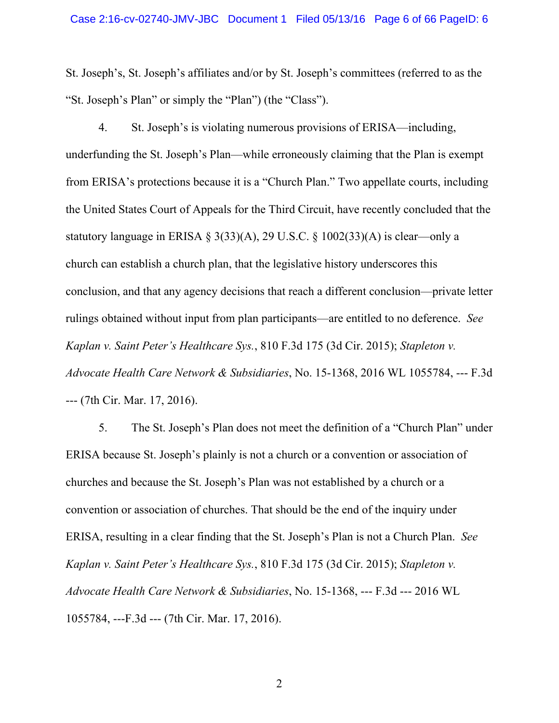St. Joseph's, St. Joseph's affiliates and/or by St. Joseph's committees (referred to as the "St. Joseph's Plan" or simply the "Plan") (the "Class").

4. St. Joseph's is violating numerous provisions of ERISA—including, underfunding the St. Joseph's Plan—while erroneously claiming that the Plan is exempt from ERISA's protections because it is a "Church Plan." Two appellate courts, including the United States Court of Appeals for the Third Circuit, have recently concluded that the statutory language in ERISA  $\S 3(33)(A)$ , 29 U.S.C.  $\S 1002(33)(A)$  is clear—only a church can establish a church plan, that the legislative history underscores this conclusion, and that any agency decisions that reach a different conclusion—private letter rulings obtained without input from plan participants—are entitled to no deference. *See Kaplan v. Saint Peter's Healthcare Sys.*, 810 F.3d 175 (3d Cir. 2015); *Stapleton v. Advocate Health Care Network & Subsidiaries*, No. 15-1368, 2016 WL 1055784, --- F.3d --- (7th Cir. Mar. 17, 2016).

5. The St. Joseph's Plan does not meet the definition of a "Church Plan" under ERISA because St. Joseph's plainly is not a church or a convention or association of churches and because the St. Joseph's Plan was not established by a church or a convention or association of churches. That should be the end of the inquiry under ERISA, resulting in a clear finding that the St. Joseph's Plan is not a Church Plan. *See Kaplan v. Saint Peter's Healthcare Sys.*, 810 F.3d 175 (3d Cir. 2015); *Stapleton v. Advocate Health Care Network & Subsidiaries*, No. 15-1368, --- F.3d --- 2016 WL 1055784, ---F.3d --- (7th Cir. Mar. 17, 2016).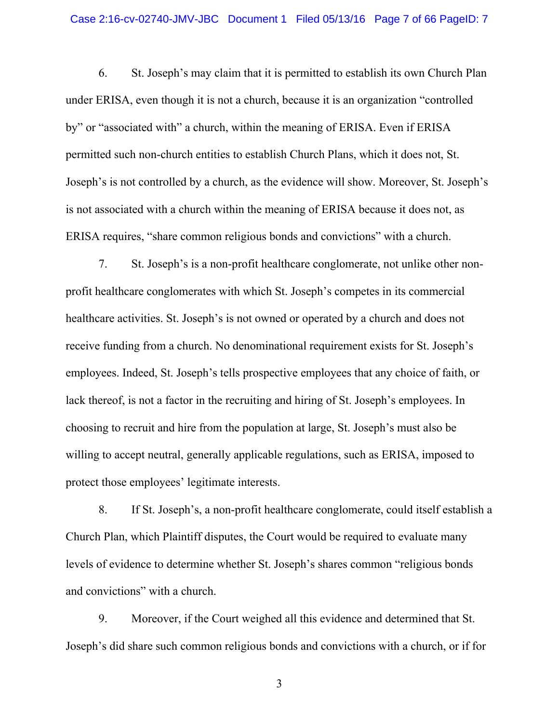#### Case 2:16-cv-02740-JMV-JBC Document 1 Filed 05/13/16 Page 7 of 66 PageID: 7

6. St. Joseph's may claim that it is permitted to establish its own Church Plan under ERISA, even though it is not a church, because it is an organization "controlled by" or "associated with" a church, within the meaning of ERISA. Even if ERISA permitted such non-church entities to establish Church Plans, which it does not, St. Joseph's is not controlled by a church, as the evidence will show. Moreover, St. Joseph's is not associated with a church within the meaning of ERISA because it does not, as ERISA requires, "share common religious bonds and convictions" with a church.

7. St. Joseph's is a non-profit healthcare conglomerate, not unlike other nonprofit healthcare conglomerates with which St. Joseph's competes in its commercial healthcare activities. St. Joseph's is not owned or operated by a church and does not receive funding from a church. No denominational requirement exists for St. Joseph's employees. Indeed, St. Joseph's tells prospective employees that any choice of faith, or lack thereof, is not a factor in the recruiting and hiring of St. Joseph's employees. In choosing to recruit and hire from the population at large, St. Joseph's must also be willing to accept neutral, generally applicable regulations, such as ERISA, imposed to protect those employees' legitimate interests.

8. If St. Joseph's, a non-profit healthcare conglomerate, could itself establish a Church Plan, which Plaintiff disputes, the Court would be required to evaluate many levels of evidence to determine whether St. Joseph's shares common "religious bonds and convictions" with a church.

9. Moreover, if the Court weighed all this evidence and determined that St. Joseph's did share such common religious bonds and convictions with a church, or if for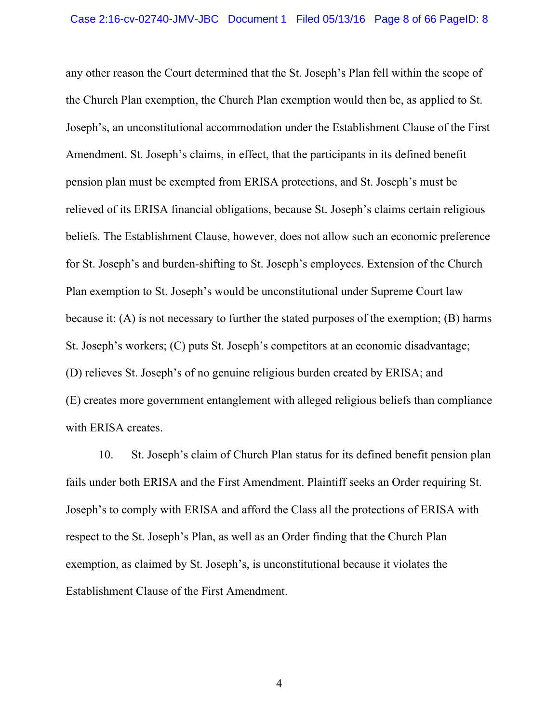any other reason the Court determined that the St. Joseph's Plan fell within the scope of the Church Plan exemption, the Church Plan exemption would then be, as applied to St. Joseph's, an unconstitutional accommodation under the Establishment Clause of the First Amendment. St. Joseph's claims, in effect, that the participants in its defined benefit pension plan must be exempted from ERISA protections, and St. Joseph's must be relieved of its ERISA financial obligations, because St. Joseph's claims certain religious beliefs. The Establishment Clause, however, does not allow such an economic preference for St. Joseph's and burden-shifting to St. Joseph's employees. Extension of the Church Plan exemption to St. Joseph's would be unconstitutional under Supreme Court law because it: (A) is not necessary to further the stated purposes of the exemption; (B) harms St. Joseph's workers; (C) puts St. Joseph's competitors at an economic disadvantage; (D) relieves St. Joseph's of no genuine religious burden created by ERISA; and (E) creates more government entanglement with alleged religious beliefs than compliance with ERISA creates.

10. St. Joseph's claim of Church Plan status for its defined benefit pension plan fails under both ERISA and the First Amendment. Plaintiff seeks an Order requiring St. Joseph's to comply with ERISA and afford the Class all the protections of ERISA with respect to the St. Joseph's Plan, as well as an Order finding that the Church Plan exemption, as claimed by St. Joseph's, is unconstitutional because it violates the Establishment Clause of the First Amendment.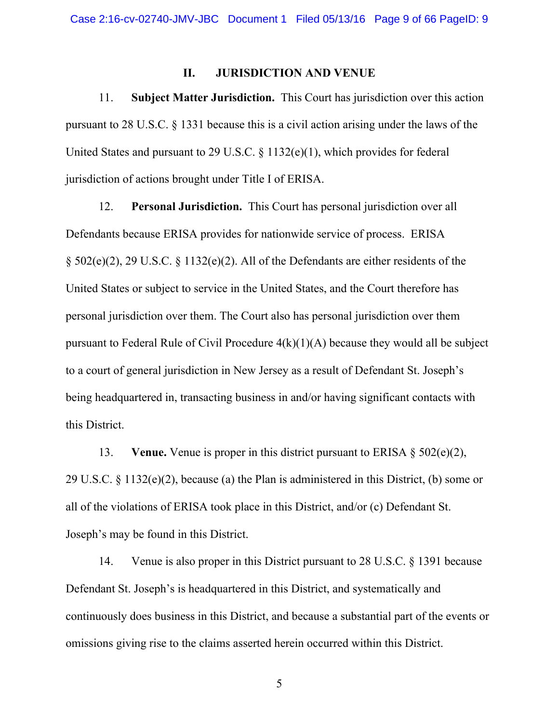#### **II. JURISDICTION AND VENUE**

11. **Subject Matter Jurisdiction.** This Court has jurisdiction over this action pursuant to 28 U.S.C. § 1331 because this is a civil action arising under the laws of the United States and pursuant to 29 U.S.C. § 1132(e)(1), which provides for federal jurisdiction of actions brought under Title I of ERISA.

12. **Personal Jurisdiction.** This Court has personal jurisdiction over all Defendants because ERISA provides for nationwide service of process. ERISA § 502(e)(2), 29 U.S.C. § 1132(e)(2). All of the Defendants are either residents of the United States or subject to service in the United States, and the Court therefore has personal jurisdiction over them. The Court also has personal jurisdiction over them pursuant to Federal Rule of Civil Procedure 4(k)(1)(A) because they would all be subject to a court of general jurisdiction in New Jersey as a result of Defendant St. Joseph's being headquartered in, transacting business in and/or having significant contacts with this District.

13. **Venue.** Venue is proper in this district pursuant to ERISA § 502(e)(2), 29 U.S.C. § 1132(e)(2), because (a) the Plan is administered in this District, (b) some or all of the violations of ERISA took place in this District, and/or (c) Defendant St. Joseph's may be found in this District.

14. Venue is also proper in this District pursuant to 28 U.S.C. § 1391 because Defendant St. Joseph's is headquartered in this District, and systematically and continuously does business in this District, and because a substantial part of the events or omissions giving rise to the claims asserted herein occurred within this District.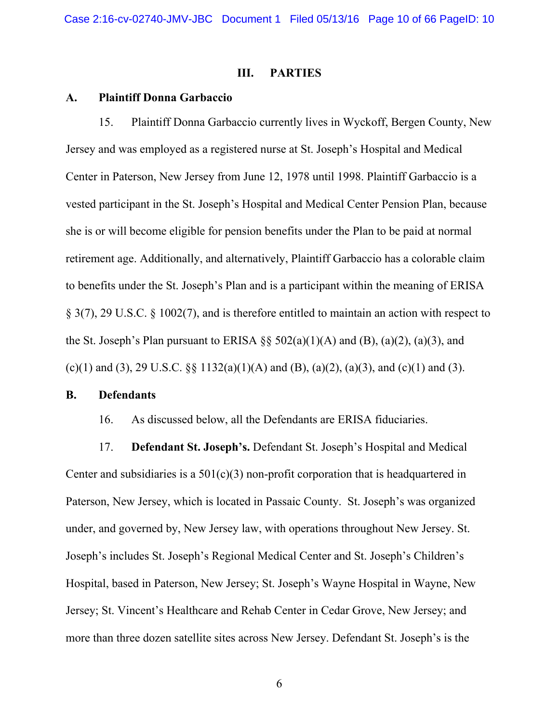#### **III. PARTIES**

#### **A. Plaintiff Donna Garbaccio**

15. Plaintiff Donna Garbaccio currently lives in Wyckoff, Bergen County, New Jersey and was employed as a registered nurse at St. Joseph's Hospital and Medical Center in Paterson, New Jersey from June 12, 1978 until 1998. Plaintiff Garbaccio is a vested participant in the St. Joseph's Hospital and Medical Center Pension Plan, because she is or will become eligible for pension benefits under the Plan to be paid at normal retirement age. Additionally, and alternatively, Plaintiff Garbaccio has a colorable claim to benefits under the St. Joseph's Plan and is a participant within the meaning of ERISA § 3(7), 29 U.S.C. § 1002(7), and is therefore entitled to maintain an action with respect to the St. Joseph's Plan pursuant to ERISA  $\S$  502(a)(1)(A) and (B), (a)(2), (a)(3), and (c)(1) and (3), 29 U.S.C. §§ 1132(a)(1)(A) and (B), (a)(2), (a)(3), and (c)(1) and (3).

#### **B. Defendants**

16. As discussed below, all the Defendants are ERISA fiduciaries.

17. **Defendant St. Joseph's.** Defendant St. Joseph's Hospital and Medical Center and subsidiaries is a  $501(c)(3)$  non-profit corporation that is headquartered in Paterson, New Jersey, which is located in Passaic County. St. Joseph's was organized under, and governed by, New Jersey law, with operations throughout New Jersey. St. Joseph's includes St. Joseph's Regional Medical Center and St. Joseph's Children's Hospital, based in Paterson, New Jersey; St. Joseph's Wayne Hospital in Wayne, New Jersey; St. Vincent's Healthcare and Rehab Center in Cedar Grove, New Jersey; and more than three dozen satellite sites across New Jersey. Defendant St. Joseph's is the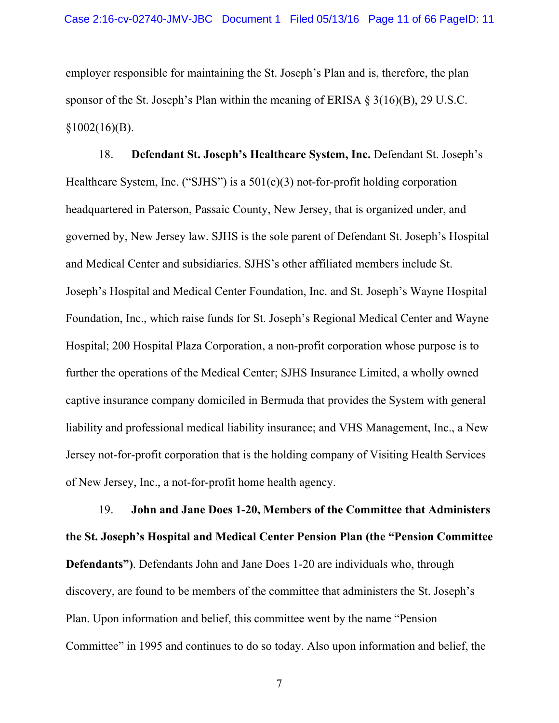employer responsible for maintaining the St. Joseph's Plan and is, therefore, the plan sponsor of the St. Joseph's Plan within the meaning of ERISA § 3(16)(B), 29 U.S.C.  $§1002(16)(B).$ 

18. **Defendant St. Joseph's Healthcare System, Inc.** Defendant St. Joseph's Healthcare System, Inc. ("SJHS") is a  $501(c)(3)$  not-for-profit holding corporation headquartered in Paterson, Passaic County, New Jersey, that is organized under, and governed by, New Jersey law. SJHS is the sole parent of Defendant St. Joseph's Hospital and Medical Center and subsidiaries. SJHS's other affiliated members include St. Joseph's Hospital and Medical Center Foundation, Inc. and St. Joseph's Wayne Hospital Foundation, Inc., which raise funds for St. Joseph's Regional Medical Center and Wayne Hospital; 200 Hospital Plaza Corporation, a non-profit corporation whose purpose is to further the operations of the Medical Center; SJHS Insurance Limited, a wholly owned captive insurance company domiciled in Bermuda that provides the System with general liability and professional medical liability insurance; and VHS Management, Inc., a New Jersey not-for-profit corporation that is the holding company of Visiting Health Services of New Jersey, Inc., a not-for-profit home health agency.

19. **John and Jane Does 1-20, Members of the Committee that Administers the St. Joseph's Hospital and Medical Center Pension Plan (the "Pension Committee Defendants")**. Defendants John and Jane Does 1-20 are individuals who, through discovery, are found to be members of the committee that administers the St. Joseph's Plan. Upon information and belief, this committee went by the name "Pension Committee" in 1995 and continues to do so today. Also upon information and belief, the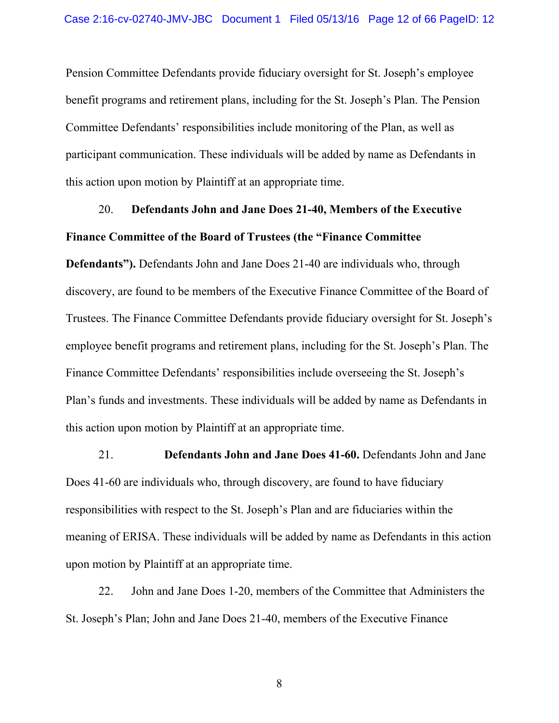Pension Committee Defendants provide fiduciary oversight for St. Joseph's employee benefit programs and retirement plans, including for the St. Joseph's Plan. The Pension Committee Defendants' responsibilities include monitoring of the Plan, as well as participant communication. These individuals will be added by name as Defendants in this action upon motion by Plaintiff at an appropriate time.

# 20. **Defendants John and Jane Does 21-40, Members of the Executive Finance Committee of the Board of Trustees (the "Finance Committee**

**Defendants").** Defendants John and Jane Does 21-40 are individuals who, through discovery, are found to be members of the Executive Finance Committee of the Board of Trustees. The Finance Committee Defendants provide fiduciary oversight for St. Joseph's employee benefit programs and retirement plans, including for the St. Joseph's Plan. The Finance Committee Defendants' responsibilities include overseeing the St. Joseph's Plan's funds and investments. These individuals will be added by name as Defendants in this action upon motion by Plaintiff at an appropriate time.

21. **Defendants John and Jane Does 41-60.** Defendants John and Jane Does 41-60 are individuals who, through discovery, are found to have fiduciary responsibilities with respect to the St. Joseph's Plan and are fiduciaries within the meaning of ERISA. These individuals will be added by name as Defendants in this action upon motion by Plaintiff at an appropriate time.

22. John and Jane Does 1-20, members of the Committee that Administers the St. Joseph's Plan; John and Jane Does 21-40, members of the Executive Finance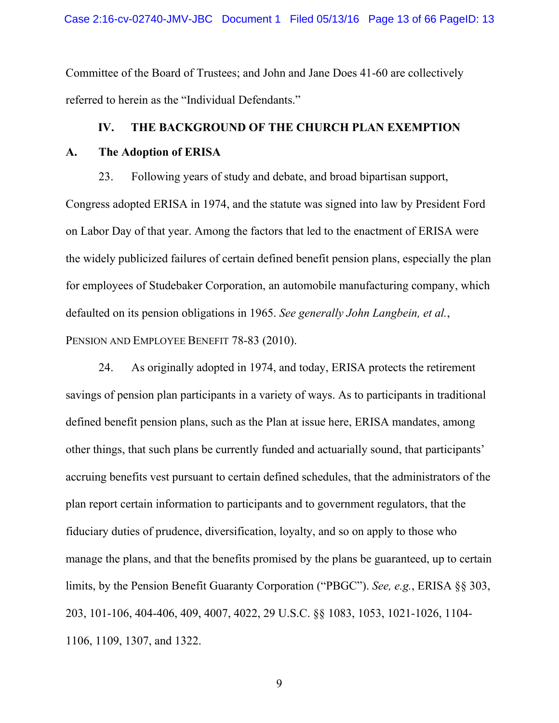Case 2:16-cv-02740-JMV-JBC Document 1 Filed 05/13/16 Page 13 of 66 PageID: 13

Committee of the Board of Trustees; and John and Jane Does 41-60 are collectively referred to herein as the "Individual Defendants."

#### **IV. THE BACKGROUND OF THE CHURCH PLAN EXEMPTION**

#### **A. The Adoption of ERISA**

23. Following years of study and debate, and broad bipartisan support, Congress adopted ERISA in 1974, and the statute was signed into law by President Ford on Labor Day of that year. Among the factors that led to the enactment of ERISA were the widely publicized failures of certain defined benefit pension plans, especially the plan for employees of Studebaker Corporation, an automobile manufacturing company, which defaulted on its pension obligations in 1965. *See generally John Langbein, et al.*, PENSION AND EMPLOYEE BENEFIT 78-83 (2010).

24. As originally adopted in 1974, and today, ERISA protects the retirement savings of pension plan participants in a variety of ways. As to participants in traditional defined benefit pension plans, such as the Plan at issue here, ERISA mandates, among other things, that such plans be currently funded and actuarially sound, that participants' accruing benefits vest pursuant to certain defined schedules, that the administrators of the plan report certain information to participants and to government regulators, that the fiduciary duties of prudence, diversification, loyalty, and so on apply to those who manage the plans, and that the benefits promised by the plans be guaranteed, up to certain limits, by the Pension Benefit Guaranty Corporation ("PBGC"). *See, e.g.*, ERISA §§ 303, 203, 101-106, 404-406, 409, 4007, 4022, 29 U.S.C. §§ 1083, 1053, 1021-1026, 1104- 1106, 1109, 1307, and 1322.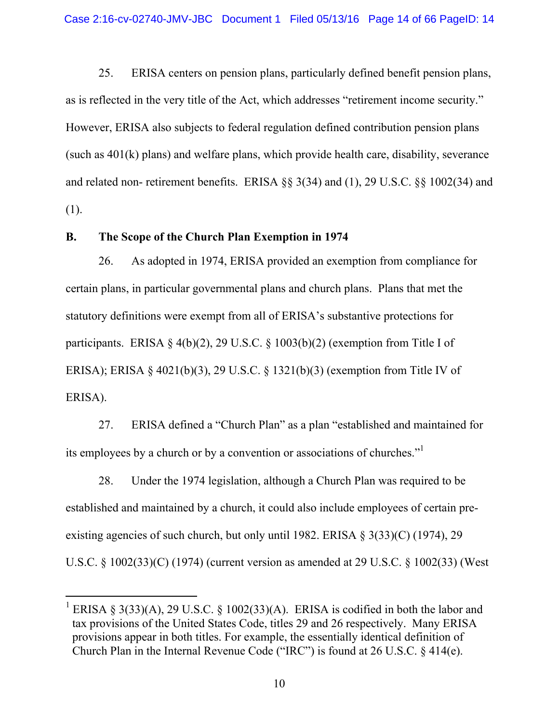25. ERISA centers on pension plans, particularly defined benefit pension plans, as is reflected in the very title of the Act, which addresses "retirement income security." However, ERISA also subjects to federal regulation defined contribution pension plans (such as 401(k) plans) and welfare plans, which provide health care, disability, severance and related non- retirement benefits. ERISA §§ 3(34) and (1), 29 U.S.C. §§ 1002(34) and (1).

#### **B. The Scope of the Church Plan Exemption in 1974**

 $\overline{a}$ 

26. As adopted in 1974, ERISA provided an exemption from compliance for certain plans, in particular governmental plans and church plans. Plans that met the statutory definitions were exempt from all of ERISA's substantive protections for participants. ERISA  $\S$  4(b)(2), 29 U.S.C.  $\S$  1003(b)(2) (exemption from Title I of ERISA); ERISA § 4021(b)(3), 29 U.S.C. § 1321(b)(3) (exemption from Title IV of ERISA).

27. ERISA defined a "Church Plan" as a plan "established and maintained for its employees by a church or by a convention or associations of churches."

28. Under the 1974 legislation, although a Church Plan was required to be established and maintained by a church, it could also include employees of certain preexisting agencies of such church, but only until 1982. ERISA  $\S$  3(33)(C) (1974), 29 U.S.C. § 1002(33)(C) (1974) (current version as amended at 29 U.S.C. § 1002(33) (West

<sup>1</sup> ERISA § 3(33)(A), 29 U.S.C. § 1002(33)(A). ERISA is codified in both the labor and tax provisions of the United States Code, titles 29 and 26 respectively. Many ERISA provisions appear in both titles. For example, the essentially identical definition of Church Plan in the Internal Revenue Code ("IRC") is found at 26 U.S.C. § 414(e).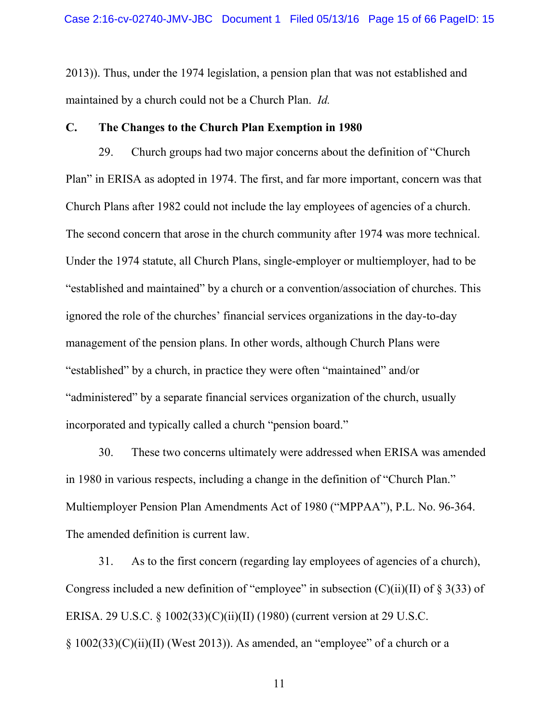2013)). Thus, under the 1974 legislation, a pension plan that was not established and maintained by a church could not be a Church Plan. *Id.*

#### **C. The Changes to the Church Plan Exemption in 1980**

29. Church groups had two major concerns about the definition of "Church Plan" in ERISA as adopted in 1974. The first, and far more important, concern was that Church Plans after 1982 could not include the lay employees of agencies of a church. The second concern that arose in the church community after 1974 was more technical. Under the 1974 statute, all Church Plans, single-employer or multiemployer, had to be "established and maintained" by a church or a convention/association of churches. This ignored the role of the churches' financial services organizations in the day-to-day management of the pension plans. In other words, although Church Plans were "established" by a church, in practice they were often "maintained" and/or "administered" by a separate financial services organization of the church, usually incorporated and typically called a church "pension board."

30. These two concerns ultimately were addressed when ERISA was amended in 1980 in various respects, including a change in the definition of "Church Plan." Multiemployer Pension Plan Amendments Act of 1980 ("MPPAA"), P.L. No. 96-364. The amended definition is current law.

31. As to the first concern (regarding lay employees of agencies of a church), Congress included a new definition of "employee" in subsection  $(C)(ii)(II)$  of § 3(33) of ERISA. 29 U.S.C. § 1002(33)(C)(ii)(II) (1980) (current version at 29 U.S.C.  $\S$  1002(33)(C)(ii)(II) (West 2013)). As amended, an "employee" of a church or a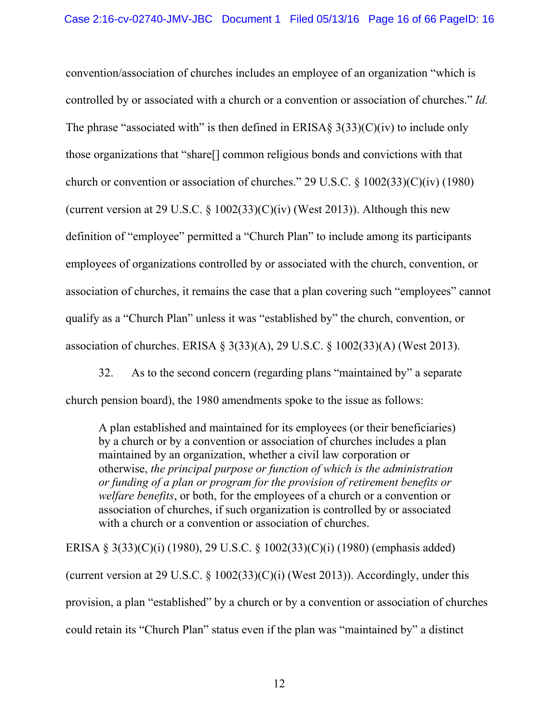convention/association of churches includes an employee of an organization "which is controlled by or associated with a church or a convention or association of churches." *Id.* The phrase "associated with" is then defined in ERISA§  $3(33)(C)(iv)$  to include only those organizations that "share[] common religious bonds and convictions with that church or convention or association of churches." 29 U.S.C. § 1002(33)(C)(iv) (1980) (current version at 29 U.S.C.  $\S$  1002(33)(C)(iv) (West 2013)). Although this new definition of "employee" permitted a "Church Plan" to include among its participants employees of organizations controlled by or associated with the church, convention, or association of churches, it remains the case that a plan covering such "employees" cannot qualify as a "Church Plan" unless it was "established by" the church, convention, or association of churches. ERISA § 3(33)(A), 29 U.S.C. § 1002(33)(A) (West 2013).

32. As to the second concern (regarding plans "maintained by" a separate church pension board), the 1980 amendments spoke to the issue as follows:

A plan established and maintained for its employees (or their beneficiaries) by a church or by a convention or association of churches includes a plan maintained by an organization, whether a civil law corporation or otherwise, *the principal purpose or function of which is the administration or funding of a plan or program for the provision of retirement benefits or welfare benefits*, or both, for the employees of a church or a convention or association of churches, if such organization is controlled by or associated with a church or a convention or association of churches.

ERISA § 3(33)(C)(i) (1980), 29 U.S.C. § 1002(33)(C)(i) (1980) (emphasis added) (current version at 29 U.S.C.  $\S$  1002(33)(C)(i) (West 2013)). Accordingly, under this provision, a plan "established" by a church or by a convention or association of churches could retain its "Church Plan" status even if the plan was "maintained by" a distinct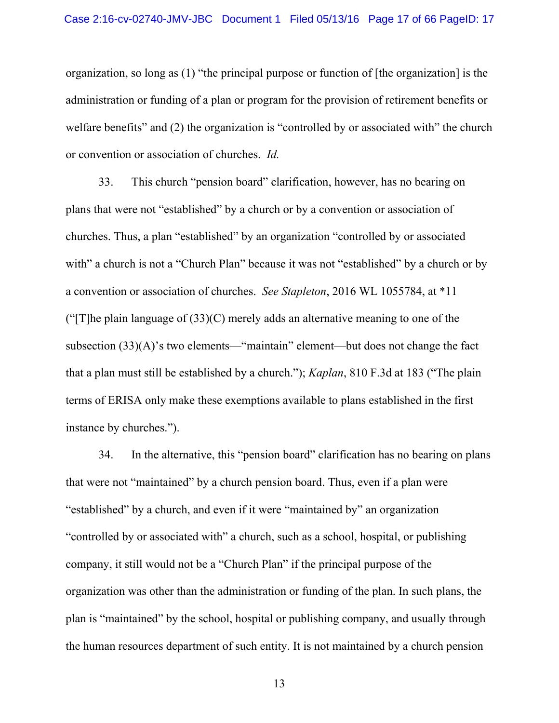organization, so long as (1) "the principal purpose or function of [the organization] is the administration or funding of a plan or program for the provision of retirement benefits or welfare benefits" and (2) the organization is "controlled by or associated with" the church or convention or association of churches. *Id.*

33. This church "pension board" clarification, however, has no bearing on plans that were not "established" by a church or by a convention or association of churches. Thus, a plan "established" by an organization "controlled by or associated with" a church is not a "Church Plan" because it was not "established" by a church or by a convention or association of churches. *See Stapleton*, 2016 WL 1055784, at \*11 ("The plain language of  $(33)(C)$  merely adds an alternative meaning to one of the subsection (33)(A)'s two elements—"maintain" element—but does not change the fact that a plan must still be established by a church."); *Kaplan*, 810 F.3d at 183 ("The plain terms of ERISA only make these exemptions available to plans established in the first instance by churches.").

34. In the alternative, this "pension board" clarification has no bearing on plans that were not "maintained" by a church pension board. Thus, even if a plan were "established" by a church, and even if it were "maintained by" an organization "controlled by or associated with" a church, such as a school, hospital, or publishing company, it still would not be a "Church Plan" if the principal purpose of the organization was other than the administration or funding of the plan. In such plans, the plan is "maintained" by the school, hospital or publishing company, and usually through the human resources department of such entity. It is not maintained by a church pension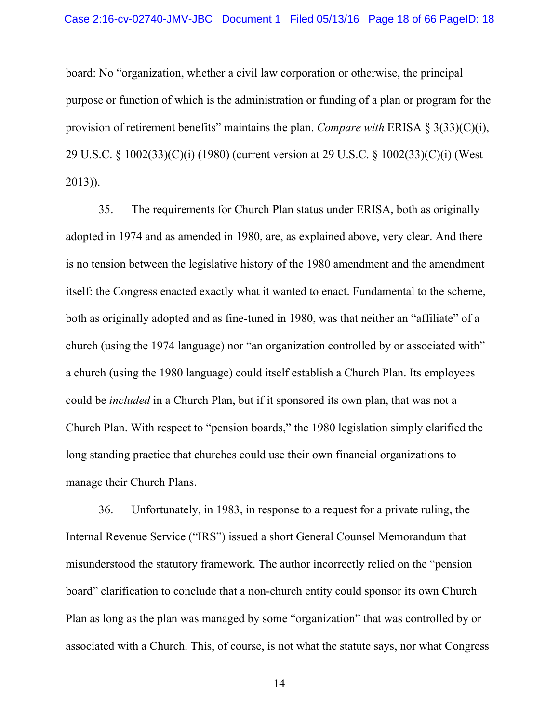board: No "organization, whether a civil law corporation or otherwise, the principal purpose or function of which is the administration or funding of a plan or program for the provision of retirement benefits" maintains the plan. *Compare with* ERISA § 3(33)(C)(i), 29 U.S.C. § 1002(33)(C)(i) (1980) (current version at 29 U.S.C. § 1002(33)(C)(i) (West 2013)).

35. The requirements for Church Plan status under ERISA, both as originally adopted in 1974 and as amended in 1980, are, as explained above, very clear. And there is no tension between the legislative history of the 1980 amendment and the amendment itself: the Congress enacted exactly what it wanted to enact. Fundamental to the scheme, both as originally adopted and as fine-tuned in 1980, was that neither an "affiliate" of a church (using the 1974 language) nor "an organization controlled by or associated with" a church (using the 1980 language) could itself establish a Church Plan. Its employees could be *included* in a Church Plan, but if it sponsored its own plan, that was not a Church Plan. With respect to "pension boards," the 1980 legislation simply clarified the long standing practice that churches could use their own financial organizations to manage their Church Plans.

36. Unfortunately, in 1983, in response to a request for a private ruling, the Internal Revenue Service ("IRS") issued a short General Counsel Memorandum that misunderstood the statutory framework. The author incorrectly relied on the "pension board" clarification to conclude that a non-church entity could sponsor its own Church Plan as long as the plan was managed by some "organization" that was controlled by or associated with a Church. This, of course, is not what the statute says, nor what Congress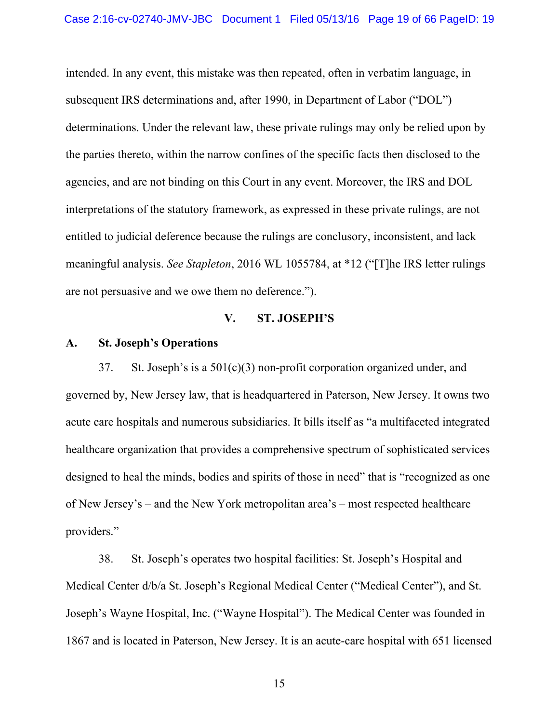intended. In any event, this mistake was then repeated, often in verbatim language, in subsequent IRS determinations and, after 1990, in Department of Labor ("DOL") determinations. Under the relevant law, these private rulings may only be relied upon by the parties thereto, within the narrow confines of the specific facts then disclosed to the agencies, and are not binding on this Court in any event. Moreover, the IRS and DOL interpretations of the statutory framework, as expressed in these private rulings, are not entitled to judicial deference because the rulings are conclusory, inconsistent, and lack meaningful analysis. *See Stapleton*, 2016 WL 1055784, at \*12 ("[T]he IRS letter rulings are not persuasive and we owe them no deference.").

#### **V. ST. JOSEPH'S**

### **A. St. Joseph's Operations**

37. St. Joseph's is a 501(c)(3) non-profit corporation organized under, and governed by, New Jersey law, that is headquartered in Paterson, New Jersey. It owns two acute care hospitals and numerous subsidiaries. It bills itself as "a multifaceted integrated healthcare organization that provides a comprehensive spectrum of sophisticated services designed to heal the minds, bodies and spirits of those in need" that is "recognized as one of New Jersey's – and the New York metropolitan area's – most respected healthcare providers."

38. St. Joseph's operates two hospital facilities: St. Joseph's Hospital and Medical Center d/b/a St. Joseph's Regional Medical Center ("Medical Center"), and St. Joseph's Wayne Hospital, Inc. ("Wayne Hospital"). The Medical Center was founded in 1867 and is located in Paterson, New Jersey. It is an acute-care hospital with 651 licensed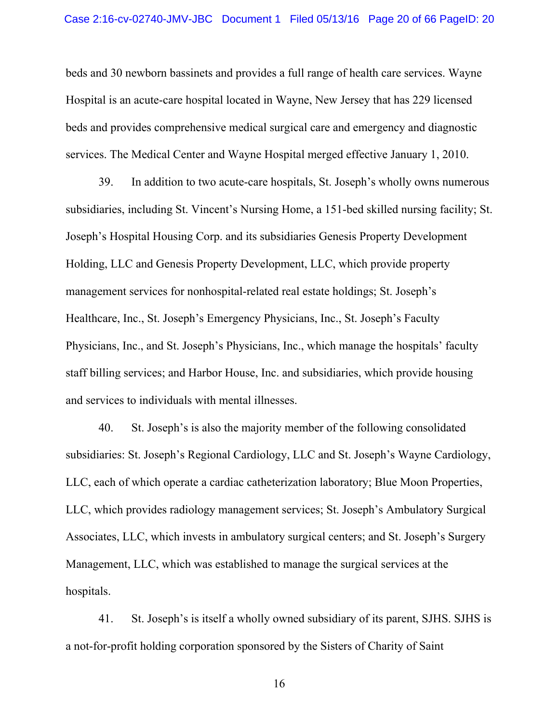beds and 30 newborn bassinets and provides a full range of health care services. Wayne Hospital is an acute-care hospital located in Wayne, New Jersey that has 229 licensed beds and provides comprehensive medical surgical care and emergency and diagnostic services. The Medical Center and Wayne Hospital merged effective January 1, 2010.

39. In addition to two acute-care hospitals, St. Joseph's wholly owns numerous subsidiaries, including St. Vincent's Nursing Home, a 151-bed skilled nursing facility; St. Joseph's Hospital Housing Corp. and its subsidiaries Genesis Property Development Holding, LLC and Genesis Property Development, LLC, which provide property management services for nonhospital-related real estate holdings; St. Joseph's Healthcare, Inc., St. Joseph's Emergency Physicians, Inc., St. Joseph's Faculty Physicians, Inc., and St. Joseph's Physicians, Inc., which manage the hospitals' faculty staff billing services; and Harbor House, Inc. and subsidiaries, which provide housing and services to individuals with mental illnesses.

40. St. Joseph's is also the majority member of the following consolidated subsidiaries: St. Joseph's Regional Cardiology, LLC and St. Joseph's Wayne Cardiology, LLC, each of which operate a cardiac catheterization laboratory; Blue Moon Properties, LLC, which provides radiology management services; St. Joseph's Ambulatory Surgical Associates, LLC, which invests in ambulatory surgical centers; and St. Joseph's Surgery Management, LLC, which was established to manage the surgical services at the hospitals.

41. St. Joseph's is itself a wholly owned subsidiary of its parent, SJHS. SJHS is a not-for-profit holding corporation sponsored by the Sisters of Charity of Saint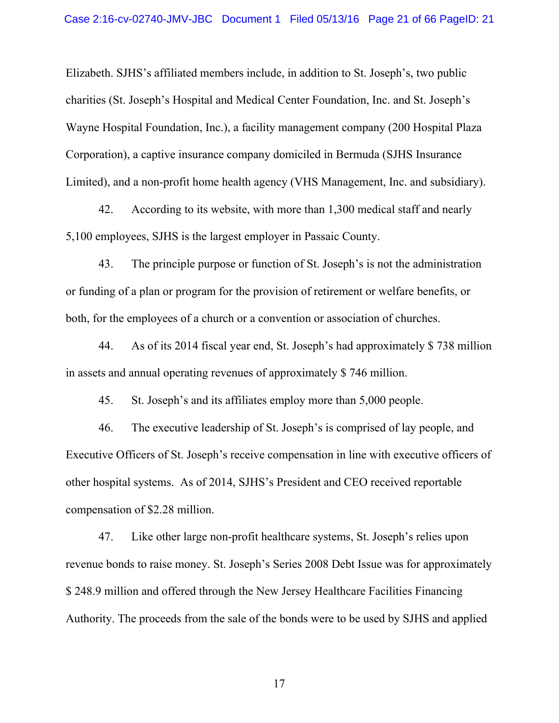Elizabeth. SJHS's affiliated members include, in addition to St. Joseph's, two public charities (St. Joseph's Hospital and Medical Center Foundation, Inc. and St. Joseph's Wayne Hospital Foundation, Inc.), a facility management company (200 Hospital Plaza Corporation), a captive insurance company domiciled in Bermuda (SJHS Insurance Limited), and a non-profit home health agency (VHS Management, Inc. and subsidiary).

42. According to its website, with more than 1,300 medical staff and nearly 5,100 employees, SJHS is the largest employer in Passaic County.

43. The principle purpose or function of St. Joseph's is not the administration or funding of a plan or program for the provision of retirement or welfare benefits, or both, for the employees of a church or a convention or association of churches.

44. As of its 2014 fiscal year end, St. Joseph's had approximately \$ 738 million in assets and annual operating revenues of approximately \$ 746 million.

45. St. Joseph's and its affiliates employ more than 5,000 people.

46. The executive leadership of St. Joseph's is comprised of lay people, and Executive Officers of St. Joseph's receive compensation in line with executive officers of other hospital systems. As of 2014, SJHS's President and CEO received reportable compensation of \$2.28 million.

47. Like other large non-profit healthcare systems, St. Joseph's relies upon revenue bonds to raise money. St. Joseph's Series 2008 Debt Issue was for approximately \$ 248.9 million and offered through the New Jersey Healthcare Facilities Financing Authority. The proceeds from the sale of the bonds were to be used by SJHS and applied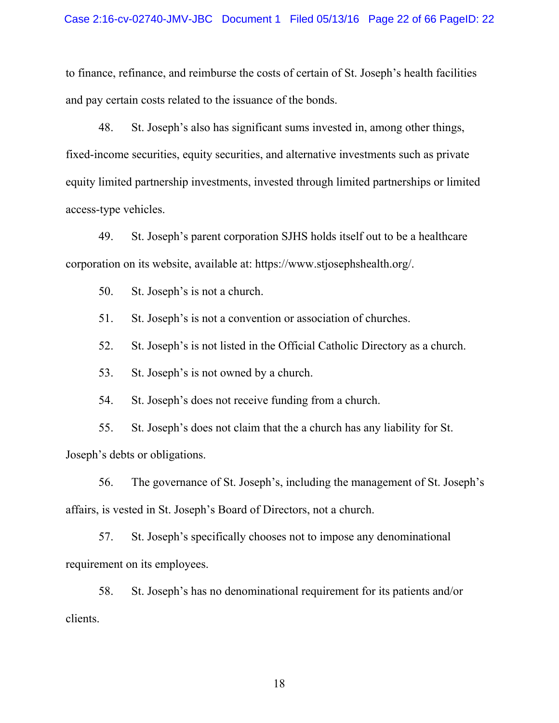to finance, refinance, and reimburse the costs of certain of St. Joseph's health facilities and pay certain costs related to the issuance of the bonds.

48. St. Joseph's also has significant sums invested in, among other things, fixed-income securities, equity securities, and alternative investments such as private equity limited partnership investments, invested through limited partnerships or limited access-type vehicles.

49. St. Joseph's parent corporation SJHS holds itself out to be a healthcare corporation on its website, available at: https://www.stjosephshealth.org/.

50. St. Joseph's is not a church.

51. St. Joseph's is not a convention or association of churches.

52. St. Joseph's is not listed in the Official Catholic Directory as a church.

53. St. Joseph's is not owned by a church.

54. St. Joseph's does not receive funding from a church.

55. St. Joseph's does not claim that the a church has any liability for St. Joseph's debts or obligations.

56. The governance of St. Joseph's, including the management of St. Joseph's affairs, is vested in St. Joseph's Board of Directors, not a church.

57. St. Joseph's specifically chooses not to impose any denominational requirement on its employees.

58. St. Joseph's has no denominational requirement for its patients and/or clients.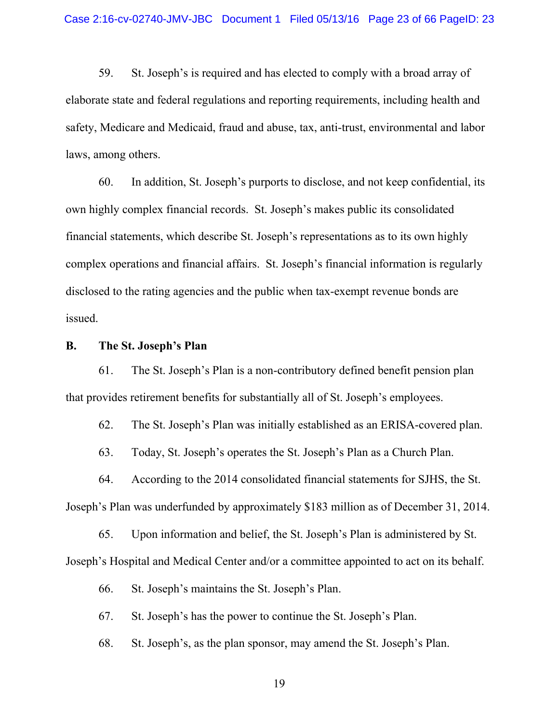59. St. Joseph's is required and has elected to comply with a broad array of elaborate state and federal regulations and reporting requirements, including health and safety, Medicare and Medicaid, fraud and abuse, tax, anti-trust, environmental and labor laws, among others.

60. In addition, St. Joseph's purports to disclose, and not keep confidential, its own highly complex financial records. St. Joseph's makes public its consolidated financial statements, which describe St. Joseph's representations as to its own highly complex operations and financial affairs. St. Joseph's financial information is regularly disclosed to the rating agencies and the public when tax-exempt revenue bonds are issued.

#### **B. The St. Joseph's Plan**

61. The St. Joseph's Plan is a non-contributory defined benefit pension plan that provides retirement benefits for substantially all of St. Joseph's employees.

62. The St. Joseph's Plan was initially established as an ERISA-covered plan.

63. Today, St. Joseph's operates the St. Joseph's Plan as a Church Plan.

64. According to the 2014 consolidated financial statements for SJHS, the St.

Joseph's Plan was underfunded by approximately \$183 million as of December 31, 2014.

65. Upon information and belief, the St. Joseph's Plan is administered by St.

Joseph's Hospital and Medical Center and/or a committee appointed to act on its behalf.

66. St. Joseph's maintains the St. Joseph's Plan.

67. St. Joseph's has the power to continue the St. Joseph's Plan.

68. St. Joseph's, as the plan sponsor, may amend the St. Joseph's Plan.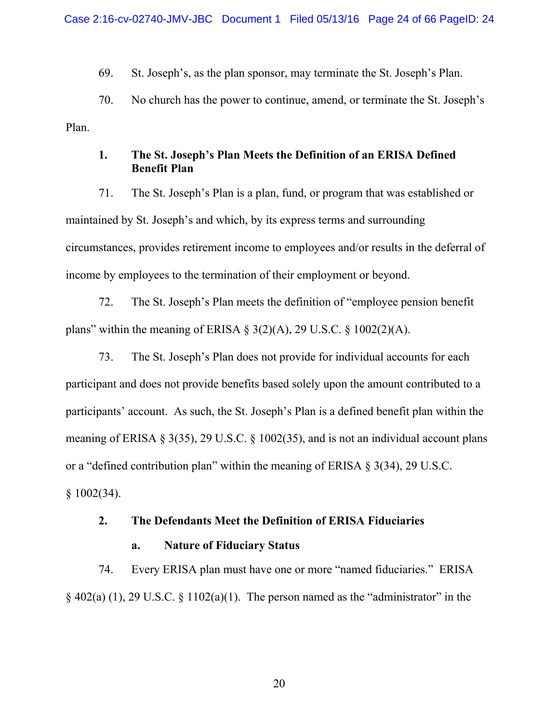69. St. Joseph's, as the plan sponsor, may terminate the St. Joseph's Plan.

70. No church has the power to continue, amend, or terminate the St. Joseph's Plan.

### **1. The St. Joseph's Plan Meets the Definition of an ERISA Defined Benefit Plan**

71. The St. Joseph's Plan is a plan, fund, or program that was established or maintained by St. Joseph's and which, by its express terms and surrounding circumstances, provides retirement income to employees and/or results in the deferral of income by employees to the termination of their employment or beyond.

72. The St. Joseph's Plan meets the definition of "employee pension benefit plans" within the meaning of ERISA  $\S 3(2)(A)$ , 29 U.S.C.  $\S 1002(2)(A)$ .

73. The St. Joseph's Plan does not provide for individual accounts for each participant and does not provide benefits based solely upon the amount contributed to a participants' account. As such, the St. Joseph's Plan is a defined benefit plan within the meaning of ERISA § 3(35), 29 U.S.C. § 1002(35), and is not an individual account plans or a "defined contribution plan" within the meaning of ERISA § 3(34), 29 U.S.C.  $$1002(34).$ 

#### **2. The Defendants Meet the Definition of ERISA Fiduciaries**

#### **a. Nature of Fiduciary Status**

74. Every ERISA plan must have one or more "named fiduciaries." ERISA  $\S$  402(a) (1), 29 U.S.C.  $\S$  1102(a)(1). The person named as the "administrator" in the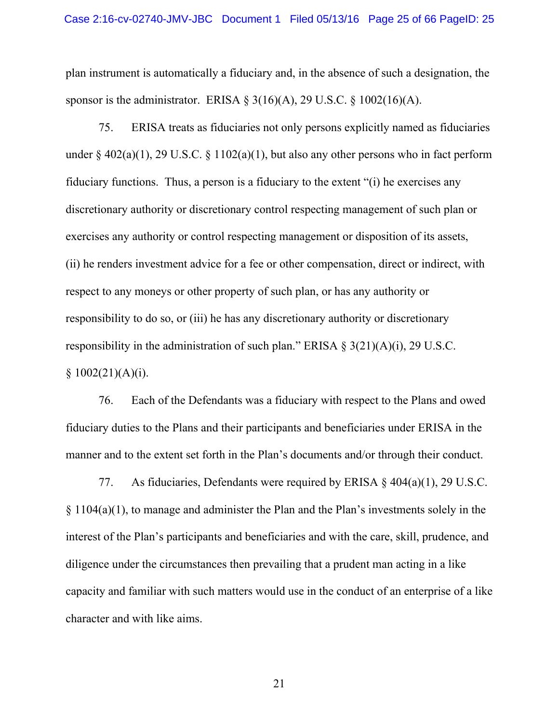#### Case 2:16-cv-02740-JMV-JBC Document 1 Filed 05/13/16 Page 25 of 66 PageID: 25

plan instrument is automatically a fiduciary and, in the absence of such a designation, the sponsor is the administrator. ERISA  $\S 3(16)(A)$ , 29 U.S.C.  $\S 1002(16)(A)$ .

75. ERISA treats as fiduciaries not only persons explicitly named as fiduciaries under  $\S$  402(a)(1), 29 U.S.C.  $\S$  1102(a)(1), but also any other persons who in fact perform fiduciary functions. Thus, a person is a fiduciary to the extent "(i) he exercises any discretionary authority or discretionary control respecting management of such plan or exercises any authority or control respecting management or disposition of its assets, (ii) he renders investment advice for a fee or other compensation, direct or indirect, with respect to any moneys or other property of such plan, or has any authority or responsibility to do so, or (iii) he has any discretionary authority or discretionary responsibility in the administration of such plan." ERISA  $\S 3(21)(A)(i)$ , 29 U.S.C.  $§ 1002(21)(A)(i).$ 

76. Each of the Defendants was a fiduciary with respect to the Plans and owed fiduciary duties to the Plans and their participants and beneficiaries under ERISA in the manner and to the extent set forth in the Plan's documents and/or through their conduct.

77. As fiduciaries, Defendants were required by ERISA § 404(a)(1), 29 U.S.C. § 1104(a)(1), to manage and administer the Plan and the Plan's investments solely in the interest of the Plan's participants and beneficiaries and with the care, skill, prudence, and diligence under the circumstances then prevailing that a prudent man acting in a like capacity and familiar with such matters would use in the conduct of an enterprise of a like character and with like aims.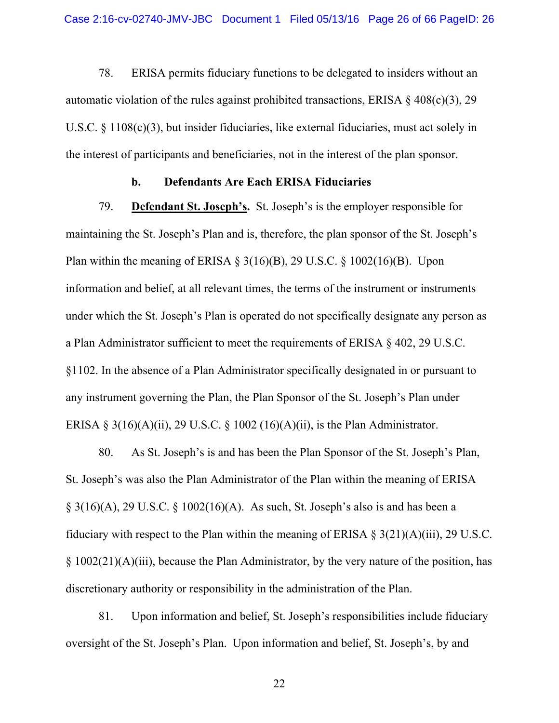78. ERISA permits fiduciary functions to be delegated to insiders without an automatic violation of the rules against prohibited transactions, ERISA  $\S$  408(c)(3), 29 U.S.C. § 1108(c)(3), but insider fiduciaries, like external fiduciaries, must act solely in the interest of participants and beneficiaries, not in the interest of the plan sponsor.

#### **b. Defendants Are Each ERISA Fiduciaries**

79. **Defendant St. Joseph's.** St. Joseph's is the employer responsible for maintaining the St. Joseph's Plan and is, therefore, the plan sponsor of the St. Joseph's Plan within the meaning of ERISA  $\S 3(16)(B)$ , 29 U.S.C.  $\S 1002(16)(B)$ . Upon information and belief, at all relevant times, the terms of the instrument or instruments under which the St. Joseph's Plan is operated do not specifically designate any person as a Plan Administrator sufficient to meet the requirements of ERISA § 402, 29 U.S.C. §1102. In the absence of a Plan Administrator specifically designated in or pursuant to any instrument governing the Plan, the Plan Sponsor of the St. Joseph's Plan under ERISA § 3(16)(A)(ii), 29 U.S.C. § 1002 (16)(A)(ii), is the Plan Administrator.

80. As St. Joseph's is and has been the Plan Sponsor of the St. Joseph's Plan, St. Joseph's was also the Plan Administrator of the Plan within the meaning of ERISA  $\S$  3(16)(A), 29 U.S.C.  $\S$  1002(16)(A). As such, St. Joseph's also is and has been a fiduciary with respect to the Plan within the meaning of ERISA  $\S 3(21)(A)(iii)$ , 29 U.S.C. § 1002(21)(A)(iii), because the Plan Administrator, by the very nature of the position, has discretionary authority or responsibility in the administration of the Plan.

81. Upon information and belief, St. Joseph's responsibilities include fiduciary oversight of the St. Joseph's Plan. Upon information and belief, St. Joseph's, by and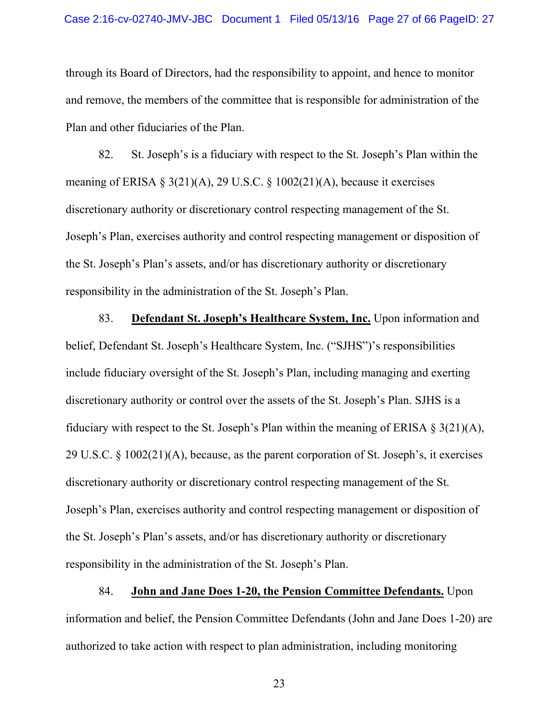through its Board of Directors, had the responsibility to appoint, and hence to monitor and remove, the members of the committee that is responsible for administration of the Plan and other fiduciaries of the Plan.

82. St. Joseph's is a fiduciary with respect to the St. Joseph's Plan within the meaning of ERISA  $\S 3(21)(A)$ , 29 U.S.C.  $\S 1002(21)(A)$ , because it exercises discretionary authority or discretionary control respecting management of the St. Joseph's Plan, exercises authority and control respecting management or disposition of the St. Joseph's Plan's assets, and/or has discretionary authority or discretionary responsibility in the administration of the St. Joseph's Plan.

83. **Defendant St. Joseph's Healthcare System, Inc.** Upon information and belief, Defendant St. Joseph's Healthcare System, Inc. ("SJHS")'s responsibilities include fiduciary oversight of the St. Joseph's Plan, including managing and exerting discretionary authority or control over the assets of the St. Joseph's Plan. SJHS is a fiduciary with respect to the St. Joseph's Plan within the meaning of ERISA  $\S 3(21)(A)$ , 29 U.S.C. § 1002(21)(A), because, as the parent corporation of St. Joseph's, it exercises discretionary authority or discretionary control respecting management of the St. Joseph's Plan, exercises authority and control respecting management or disposition of the St. Joseph's Plan's assets, and/or has discretionary authority or discretionary responsibility in the administration of the St. Joseph's Plan.

84. **John and Jane Does 1-20, the Pension Committee Defendants.** Upon information and belief, the Pension Committee Defendants (John and Jane Does 1-20) are authorized to take action with respect to plan administration, including monitoring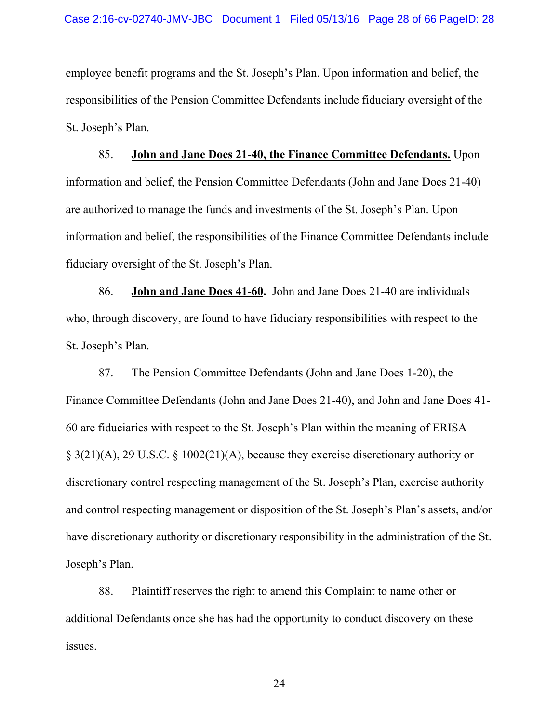employee benefit programs and the St. Joseph's Plan. Upon information and belief, the responsibilities of the Pension Committee Defendants include fiduciary oversight of the St. Joseph's Plan.

85. **John and Jane Does 21-40, the Finance Committee Defendants.** Upon information and belief, the Pension Committee Defendants (John and Jane Does 21-40) are authorized to manage the funds and investments of the St. Joseph's Plan. Upon information and belief, the responsibilities of the Finance Committee Defendants include fiduciary oversight of the St. Joseph's Plan.

86. **John and Jane Does 41-60.** John and Jane Does 21-40 are individuals who, through discovery, are found to have fiduciary responsibilities with respect to the St. Joseph's Plan.

87. The Pension Committee Defendants (John and Jane Does 1-20), the Finance Committee Defendants (John and Jane Does 21-40), and John and Jane Does 41- 60 are fiduciaries with respect to the St. Joseph's Plan within the meaning of ERISA § 3(21)(A), 29 U.S.C. § 1002(21)(A), because they exercise discretionary authority or discretionary control respecting management of the St. Joseph's Plan, exercise authority and control respecting management or disposition of the St. Joseph's Plan's assets, and/or have discretionary authority or discretionary responsibility in the administration of the St. Joseph's Plan.

88. Plaintiff reserves the right to amend this Complaint to name other or additional Defendants once she has had the opportunity to conduct discovery on these issues.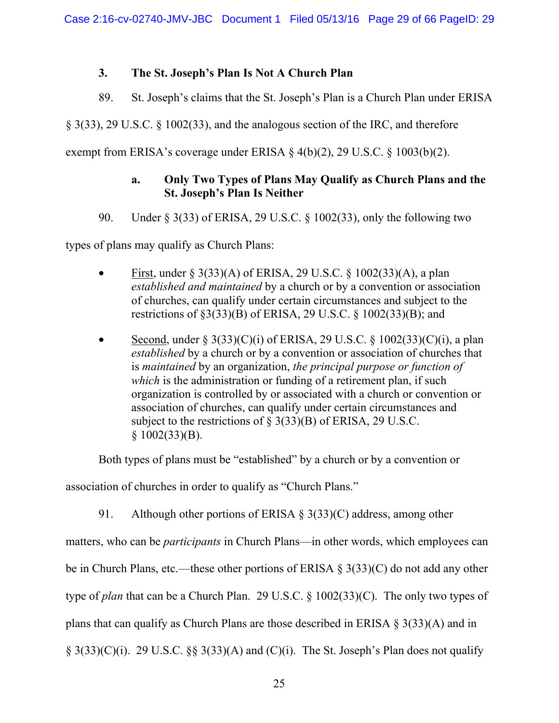### **3. The St. Joseph's Plan Is Not A Church Plan**

89. St. Joseph's claims that the St. Joseph's Plan is a Church Plan under ERISA

§ 3(33), 29 U.S.C. § 1002(33), and the analogous section of the IRC, and therefore

exempt from ERISA's coverage under ERISA § 4(b)(2), 29 U.S.C. § 1003(b)(2).

### **a. Only Two Types of Plans May Qualify as Church Plans and the St. Joseph's Plan Is Neither**

90. Under § 3(33) of ERISA, 29 U.S.C. § 1002(33), only the following two

types of plans may qualify as Church Plans:

- First, under § 3(33)(A) of ERISA, 29 U.S.C. § 1002(33)(A), a plan *established and maintained* by a church or by a convention or association of churches, can qualify under certain circumstances and subject to the restrictions of §3(33)(B) of ERISA, 29 U.S.C. § 1002(33)(B); and
- Second, under  $\S 3(33)(C)(i)$  of ERISA, 29 U.S.C.  $\S 1002(33)(C)(i)$ , a plan *established* by a church or by a convention or association of churches that is *maintained* by an organization, *the principal purpose or function of which* is the administration or funding of a retirement plan, if such organization is controlled by or associated with a church or convention or association of churches, can qualify under certain circumstances and subject to the restrictions of  $\S 3(33)(B)$  of ERISA, 29 U.S.C.  $$1002(33)(B).$

Both types of plans must be "established" by a church or by a convention or

association of churches in order to qualify as "Church Plans."

91. Although other portions of ERISA  $\S 3(33)(C)$  address, among other

matters, who can be *participants* in Church Plans—in other words, which employees can be in Church Plans, etc.—these other portions of ERISA  $\S$  3(33)(C) do not add any other type of *plan* that can be a Church Plan. 29 U.S.C. § 1002(33)(C). The only two types of plans that can qualify as Church Plans are those described in ERISA § 3(33)(A) and in  $\S$  3(33)(C)(i). 29 U.S.C.  $\S$  $\S$  3(33)(A) and (C)(i). The St. Joseph's Plan does not qualify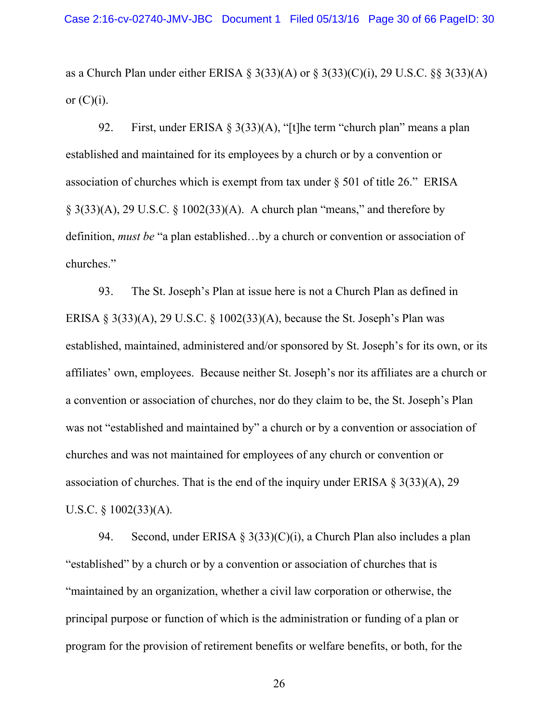as a Church Plan under either ERISA § 3(33)(A) or § 3(33)(C)(i), 29 U.S.C. §§ 3(33)(A) or  $(C)(i)$ .

92. First, under ERISA § 3(33)(A), "[t]he term "church plan" means a plan established and maintained for its employees by a church or by a convention or association of churches which is exempt from tax under § 501 of title 26." ERISA  $§$  3(33)(A), 29 U.S.C. § 1002(33)(A). A church plan "means," and therefore by definition, *must be* "a plan established…by a church or convention or association of churches."

93. The St. Joseph's Plan at issue here is not a Church Plan as defined in ERISA § 3(33)(A), 29 U.S.C. § 1002(33)(A), because the St. Joseph's Plan was established, maintained, administered and/or sponsored by St. Joseph's for its own, or its affiliates' own, employees. Because neither St. Joseph's nor its affiliates are a church or a convention or association of churches, nor do they claim to be, the St. Joseph's Plan was not "established and maintained by" a church or by a convention or association of churches and was not maintained for employees of any church or convention or association of churches. That is the end of the inquiry under ERISA  $\S 3(33)(A)$ , 29 U.S.C. § 1002(33)(A).

94. Second, under ERISA § 3(33)(C)(i), a Church Plan also includes a plan "established" by a church or by a convention or association of churches that is "maintained by an organization, whether a civil law corporation or otherwise, the principal purpose or function of which is the administration or funding of a plan or program for the provision of retirement benefits or welfare benefits, or both, for the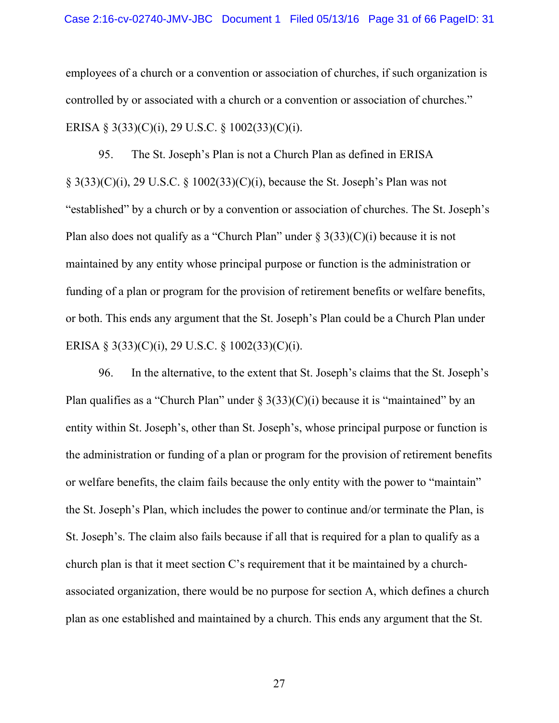employees of a church or a convention or association of churches, if such organization is controlled by or associated with a church or a convention or association of churches." ERISA § 3(33)(C)(i), 29 U.S.C. § 1002(33)(C)(i).

95. The St. Joseph's Plan is not a Church Plan as defined in ERISA  $\S$  3(33)(C)(i), 29 U.S.C.  $\S$  1002(33)(C)(i), because the St. Joseph's Plan was not "established" by a church or by a convention or association of churches. The St. Joseph's Plan also does not qualify as a "Church Plan" under  $\S 3(33)(C)(i)$  because it is not maintained by any entity whose principal purpose or function is the administration or funding of a plan or program for the provision of retirement benefits or welfare benefits, or both. This ends any argument that the St. Joseph's Plan could be a Church Plan under ERISA § 3(33)(C)(i), 29 U.S.C. § 1002(33)(C)(i).

96. In the alternative, to the extent that St. Joseph's claims that the St. Joseph's Plan qualifies as a "Church Plan" under  $\S 3(33)(C)(i)$  because it is "maintained" by an entity within St. Joseph's, other than St. Joseph's, whose principal purpose or function is the administration or funding of a plan or program for the provision of retirement benefits or welfare benefits, the claim fails because the only entity with the power to "maintain" the St. Joseph's Plan, which includes the power to continue and/or terminate the Plan, is St. Joseph's. The claim also fails because if all that is required for a plan to qualify as a church plan is that it meet section C's requirement that it be maintained by a churchassociated organization, there would be no purpose for section A, which defines a church plan as one established and maintained by a church. This ends any argument that the St.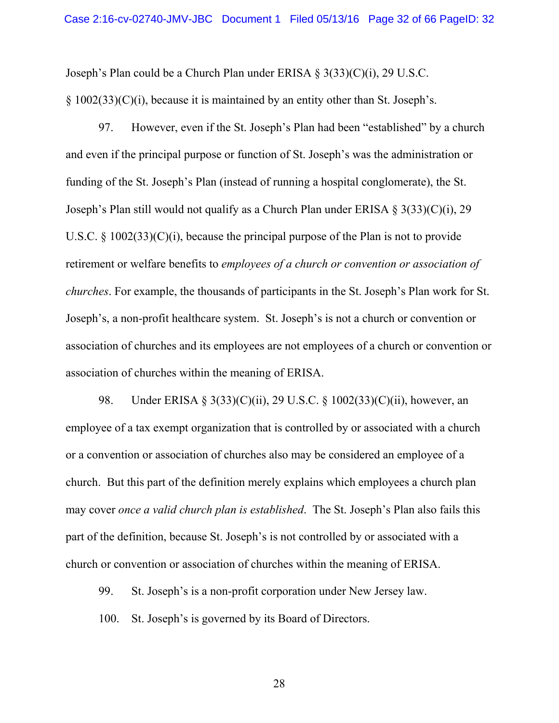Joseph's Plan could be a Church Plan under ERISA § 3(33)(C)(i), 29 U.S.C. § 1002(33)(C)(i), because it is maintained by an entity other than St. Joseph's.

97. However, even if the St. Joseph's Plan had been "established" by a church and even if the principal purpose or function of St. Joseph's was the administration or funding of the St. Joseph's Plan (instead of running a hospital conglomerate), the St. Joseph's Plan still would not qualify as a Church Plan under ERISA § 3(33)(C)(i), 29 U.S.C. § 1002(33)(C)(i), because the principal purpose of the Plan is not to provide retirement or welfare benefits to *employees of a church or convention or association of churches*. For example, the thousands of participants in the St. Joseph's Plan work for St. Joseph's, a non-profit healthcare system. St. Joseph's is not a church or convention or association of churches and its employees are not employees of a church or convention or association of churches within the meaning of ERISA.

98. Under ERISA § 3(33)(C)(ii), 29 U.S.C. § 1002(33)(C)(ii), however, an employee of a tax exempt organization that is controlled by or associated with a church or a convention or association of churches also may be considered an employee of a church. But this part of the definition merely explains which employees a church plan may cover *once a valid church plan is established*. The St. Joseph's Plan also fails this part of the definition, because St. Joseph's is not controlled by or associated with a church or convention or association of churches within the meaning of ERISA.

99. St. Joseph's is a non-profit corporation under New Jersey law.

100. St. Joseph's is governed by its Board of Directors.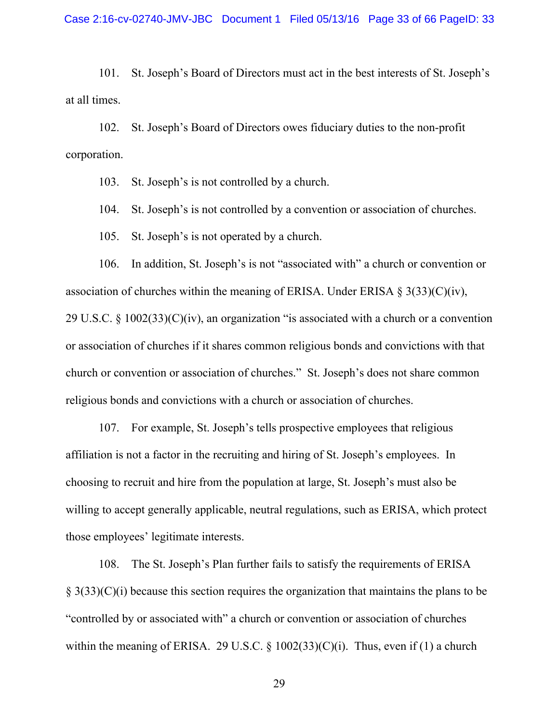101. St. Joseph's Board of Directors must act in the best interests of St. Joseph's at all times.

102. St. Joseph's Board of Directors owes fiduciary duties to the non-profit corporation.

103. St. Joseph's is not controlled by a church.

104. St. Joseph's is not controlled by a convention or association of churches.

105. St. Joseph's is not operated by a church.

106. In addition, St. Joseph's is not "associated with" a church or convention or association of churches within the meaning of ERISA. Under ERISA  $\S 3(33)(C)(iv)$ ,

29 U.S.C. § 1002(33)(C)(iv), an organization "is associated with a church or a convention or association of churches if it shares common religious bonds and convictions with that church or convention or association of churches." St. Joseph's does not share common religious bonds and convictions with a church or association of churches.

107. For example, St. Joseph's tells prospective employees that religious affiliation is not a factor in the recruiting and hiring of St. Joseph's employees. In choosing to recruit and hire from the population at large, St. Joseph's must also be willing to accept generally applicable, neutral regulations, such as ERISA, which protect those employees' legitimate interests.

108. The St. Joseph's Plan further fails to satisfy the requirements of ERISA  $\S$  3(33)(C)(i) because this section requires the organization that maintains the plans to be "controlled by or associated with" a church or convention or association of churches within the meaning of ERISA. 29 U.S.C.  $\S$  1002(33)(C)(i). Thus, even if (1) a church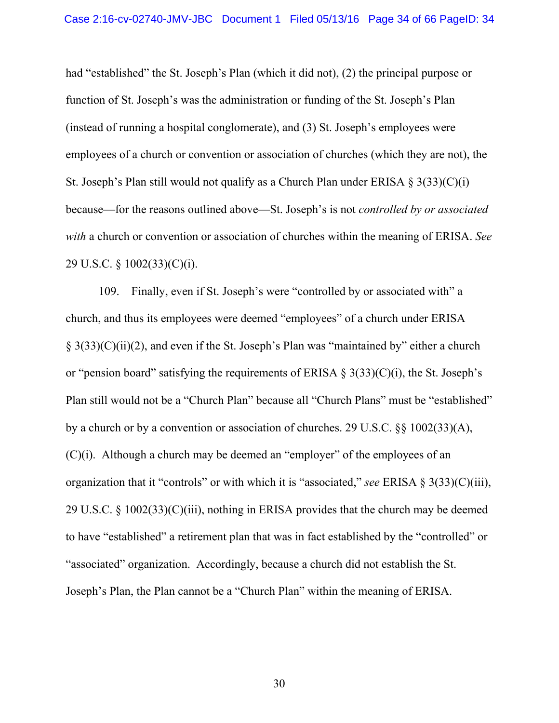had "established" the St. Joseph's Plan (which it did not), (2) the principal purpose or function of St. Joseph's was the administration or funding of the St. Joseph's Plan (instead of running a hospital conglomerate), and (3) St. Joseph's employees were employees of a church or convention or association of churches (which they are not), the St. Joseph's Plan still would not qualify as a Church Plan under ERISA  $\S 3(33)(C)(i)$ because—for the reasons outlined above—St. Joseph's is not *controlled by or associated with* a church or convention or association of churches within the meaning of ERISA. *See*  29 U.S.C. § 1002(33)(C)(i).

109. Finally, even if St. Joseph's were "controlled by or associated with" a church, and thus its employees were deemed "employees" of a church under ERISA § 3(33)(C)(ii)(2), and even if the St. Joseph's Plan was "maintained by" either a church or "pension board" satisfying the requirements of ERISA  $\S$  3(33)(C)(i), the St. Joseph's Plan still would not be a "Church Plan" because all "Church Plans" must be "established" by a church or by a convention or association of churches. 29 U.S.C. §§ 1002(33)(A), (C)(i). Although a church may be deemed an "employer" of the employees of an organization that it "controls" or with which it is "associated," *see* ERISA § 3(33)(C)(iii), 29 U.S.C. § 1002(33)(C)(iii), nothing in ERISA provides that the church may be deemed to have "established" a retirement plan that was in fact established by the "controlled" or "associated" organization. Accordingly, because a church did not establish the St. Joseph's Plan, the Plan cannot be a "Church Plan" within the meaning of ERISA.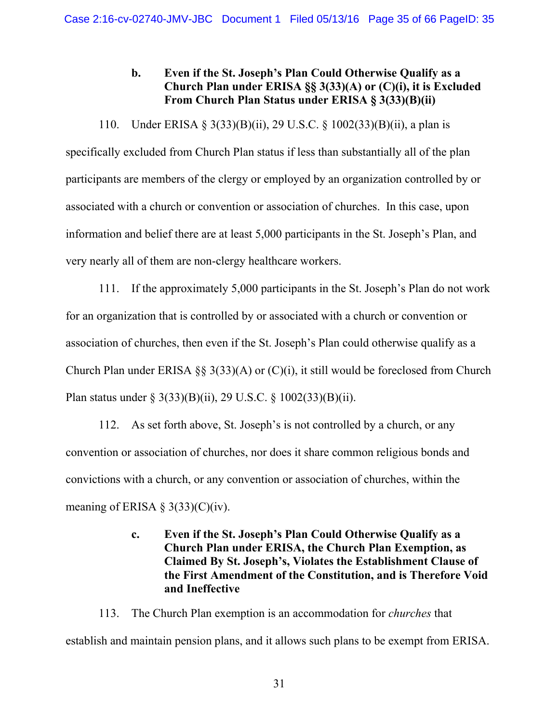### **b. Even if the St. Joseph's Plan Could Otherwise Qualify as a Church Plan under ERISA §§ 3(33)(A) or (C)(i), it is Excluded From Church Plan Status under ERISA § 3(33)(B)(ii)**

110. Under ERISA § 3(33)(B)(ii), 29 U.S.C. § 1002(33)(B)(ii), a plan is specifically excluded from Church Plan status if less than substantially all of the plan participants are members of the clergy or employed by an organization controlled by or associated with a church or convention or association of churches. In this case, upon information and belief there are at least 5,000 participants in the St. Joseph's Plan, and very nearly all of them are non-clergy healthcare workers.

111. If the approximately 5,000 participants in the St. Joseph's Plan do not work for an organization that is controlled by or associated with a church or convention or association of churches, then even if the St. Joseph's Plan could otherwise qualify as a Church Plan under ERISA §§ 3(33)(A) or  $(C)(i)$ , it still would be foreclosed from Church Plan status under § 3(33)(B)(ii), 29 U.S.C. § 1002(33)(B)(ii).

112. As set forth above, St. Joseph's is not controlled by a church, or any convention or association of churches, nor does it share common religious bonds and convictions with a church, or any convention or association of churches, within the meaning of ERISA § 3(33)(C)(iv).

> **c. Even if the St. Joseph's Plan Could Otherwise Qualify as a Church Plan under ERISA, the Church Plan Exemption, as Claimed By St. Joseph's, Violates the Establishment Clause of the First Amendment of the Constitution, and is Therefore Void and Ineffective**

113. The Church Plan exemption is an accommodation for *churches* that establish and maintain pension plans, and it allows such plans to be exempt from ERISA.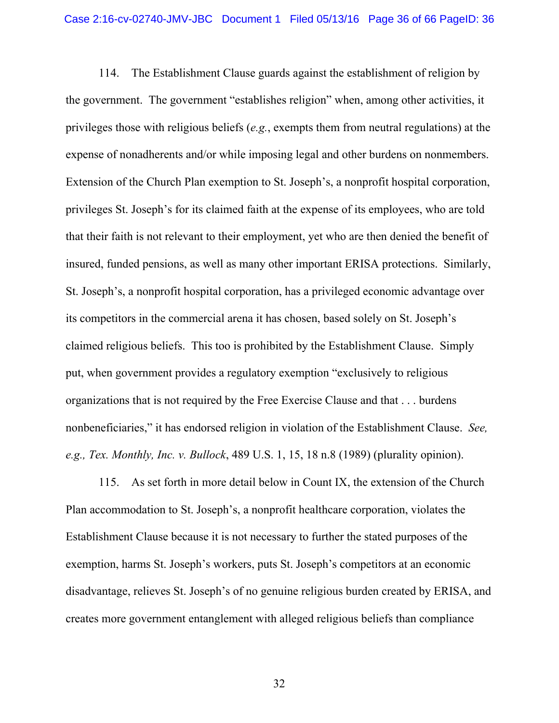114. The Establishment Clause guards against the establishment of religion by the government. The government "establishes religion" when, among other activities, it privileges those with religious beliefs (*e.g.*, exempts them from neutral regulations) at the expense of nonadherents and/or while imposing legal and other burdens on nonmembers. Extension of the Church Plan exemption to St. Joseph's, a nonprofit hospital corporation, privileges St. Joseph's for its claimed faith at the expense of its employees, who are told that their faith is not relevant to their employment, yet who are then denied the benefit of insured, funded pensions, as well as many other important ERISA protections. Similarly, St. Joseph's, a nonprofit hospital corporation, has a privileged economic advantage over its competitors in the commercial arena it has chosen, based solely on St. Joseph's claimed religious beliefs. This too is prohibited by the Establishment Clause. Simply put, when government provides a regulatory exemption "exclusively to religious organizations that is not required by the Free Exercise Clause and that . . . burdens nonbeneficiaries," it has endorsed religion in violation of the Establishment Clause. *See, e.g., Tex. Monthly, Inc. v. Bullock*, 489 U.S. 1, 15, 18 n.8 (1989) (plurality opinion).

115. As set forth in more detail below in Count IX, the extension of the Church Plan accommodation to St. Joseph's, a nonprofit healthcare corporation, violates the Establishment Clause because it is not necessary to further the stated purposes of the exemption, harms St. Joseph's workers, puts St. Joseph's competitors at an economic disadvantage, relieves St. Joseph's of no genuine religious burden created by ERISA, and creates more government entanglement with alleged religious beliefs than compliance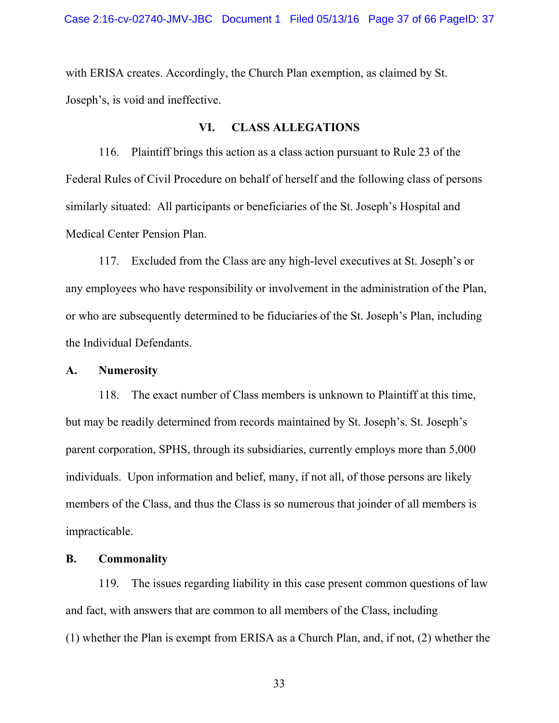with ERISA creates. Accordingly, the Church Plan exemption, as claimed by St. Joseph's, is void and ineffective.

#### **VI. CLASS ALLEGATIONS**

116. Plaintiff brings this action as a class action pursuant to Rule 23 of the Federal Rules of Civil Procedure on behalf of herself and the following class of persons similarly situated: All participants or beneficiaries of the St. Joseph's Hospital and Medical Center Pension Plan.

117. Excluded from the Class are any high-level executives at St. Joseph's or any employees who have responsibility or involvement in the administration of the Plan, or who are subsequently determined to be fiduciaries of the St. Joseph's Plan, including the Individual Defendants.

#### **A. Numerosity**

118. The exact number of Class members is unknown to Plaintiff at this time, but may be readily determined from records maintained by St. Joseph's. St. Joseph's parent corporation, SPHS, through its subsidiaries, currently employs more than 5,000 individuals. Upon information and belief, many, if not all, of those persons are likely members of the Class, and thus the Class is so numerous that joinder of all members is impracticable.

### **B. Commonality**

119. The issues regarding liability in this case present common questions of law and fact, with answers that are common to all members of the Class, including (1) whether the Plan is exempt from ERISA as a Church Plan, and, if not, (2) whether the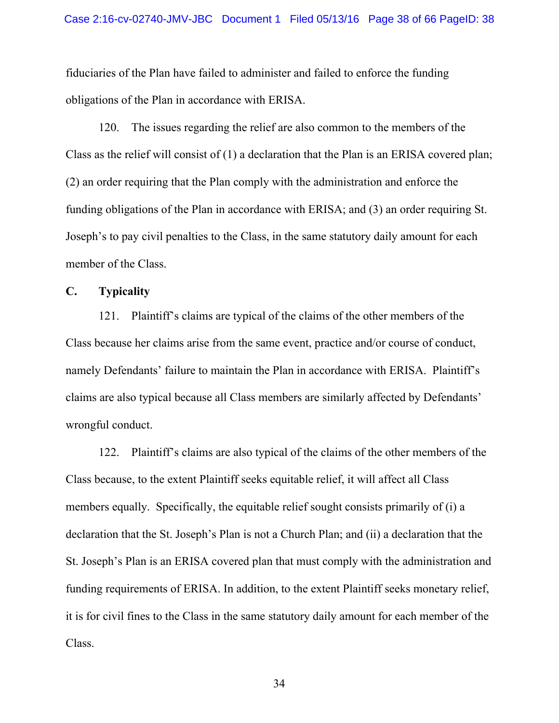fiduciaries of the Plan have failed to administer and failed to enforce the funding obligations of the Plan in accordance with ERISA.

120. The issues regarding the relief are also common to the members of the Class as the relief will consist of (1) a declaration that the Plan is an ERISA covered plan; (2) an order requiring that the Plan comply with the administration and enforce the funding obligations of the Plan in accordance with ERISA; and (3) an order requiring St. Joseph's to pay civil penalties to the Class, in the same statutory daily amount for each member of the Class.

#### **C. Typicality**

121. Plaintiff's claims are typical of the claims of the other members of the Class because her claims arise from the same event, practice and/or course of conduct, namely Defendants' failure to maintain the Plan in accordance with ERISA. Plaintiff's claims are also typical because all Class members are similarly affected by Defendants' wrongful conduct.

122. Plaintiff's claims are also typical of the claims of the other members of the Class because, to the extent Plaintiff seeks equitable relief, it will affect all Class members equally. Specifically, the equitable relief sought consists primarily of (i) a declaration that the St. Joseph's Plan is not a Church Plan; and (ii) a declaration that the St. Joseph's Plan is an ERISA covered plan that must comply with the administration and funding requirements of ERISA. In addition, to the extent Plaintiff seeks monetary relief, it is for civil fines to the Class in the same statutory daily amount for each member of the Class.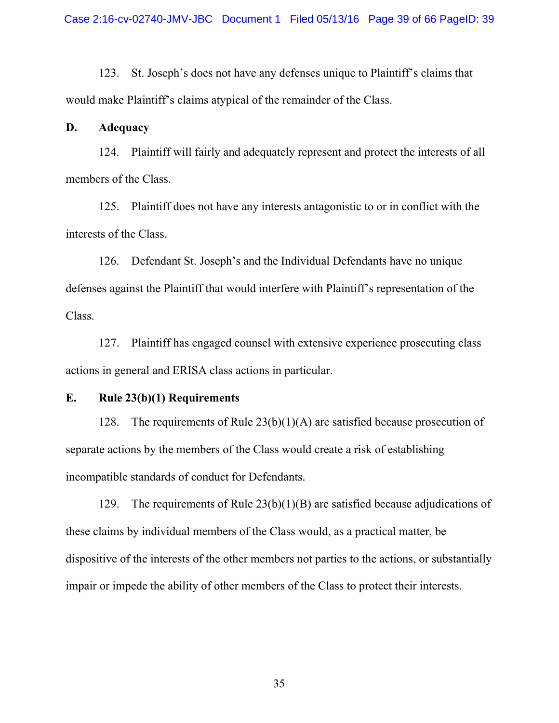123. St. Joseph's does not have any defenses unique to Plaintiff's claims that would make Plaintiff's claims atypical of the remainder of the Class.

#### **D. Adequacy**

124. Plaintiff will fairly and adequately represent and protect the interests of all members of the Class.

125. Plaintiff does not have any interests antagonistic to or in conflict with the interests of the Class.

126. Defendant St. Joseph's and the Individual Defendants have no unique defenses against the Plaintiff that would interfere with Plaintiff's representation of the Class.

127. Plaintiff has engaged counsel with extensive experience prosecuting class actions in general and ERISA class actions in particular.

### **E. Rule 23(b)(1) Requirements**

128. The requirements of Rule  $23(b)(1)(A)$  are satisfied because prosecution of separate actions by the members of the Class would create a risk of establishing incompatible standards of conduct for Defendants.

129. The requirements of Rule 23(b)(1)(B) are satisfied because adjudications of these claims by individual members of the Class would, as a practical matter, be dispositive of the interests of the other members not parties to the actions, or substantially impair or impede the ability of other members of the Class to protect their interests.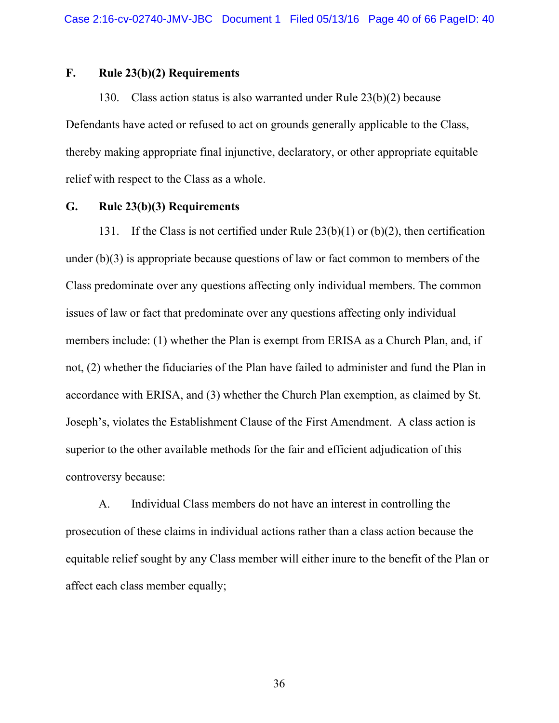### **F. Rule 23(b)(2) Requirements**

130. Class action status is also warranted under Rule 23(b)(2) because Defendants have acted or refused to act on grounds generally applicable to the Class, thereby making appropriate final injunctive, declaratory, or other appropriate equitable relief with respect to the Class as a whole.

#### **G. Rule 23(b)(3) Requirements**

131. If the Class is not certified under Rule 23(b)(1) or (b)(2), then certification under (b)(3) is appropriate because questions of law or fact common to members of the Class predominate over any questions affecting only individual members. The common issues of law or fact that predominate over any questions affecting only individual members include: (1) whether the Plan is exempt from ERISA as a Church Plan, and, if not, (2) whether the fiduciaries of the Plan have failed to administer and fund the Plan in accordance with ERISA, and (3) whether the Church Plan exemption, as claimed by St. Joseph's, violates the Establishment Clause of the First Amendment. A class action is superior to the other available methods for the fair and efficient adjudication of this controversy because:

A. Individual Class members do not have an interest in controlling the prosecution of these claims in individual actions rather than a class action because the equitable relief sought by any Class member will either inure to the benefit of the Plan or affect each class member equally;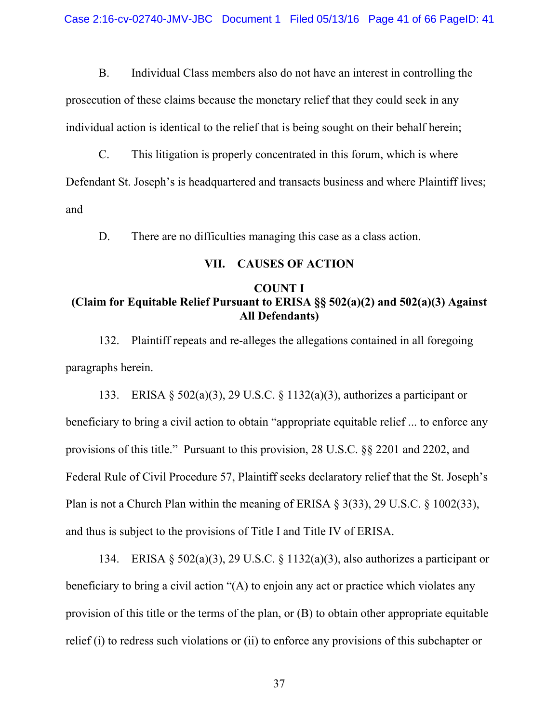B. Individual Class members also do not have an interest in controlling the

prosecution of these claims because the monetary relief that they could seek in any individual action is identical to the relief that is being sought on their behalf herein;

C. This litigation is properly concentrated in this forum, which is where Defendant St. Joseph's is headquartered and transacts business and where Plaintiff lives; and

D. There are no difficulties managing this case as a class action.

#### **VII. CAUSES OF ACTION**

### **COUNT I (Claim for Equitable Relief Pursuant to ERISA §§ 502(a)(2) and 502(a)(3) Against All Defendants)**

132. Plaintiff repeats and re-alleges the allegations contained in all foregoing paragraphs herein.

133. ERISA § 502(a)(3), 29 U.S.C. § 1132(a)(3), authorizes a participant or beneficiary to bring a civil action to obtain "appropriate equitable relief ... to enforce any provisions of this title." Pursuant to this provision, 28 U.S.C. §§ 2201 and 2202, and Federal Rule of Civil Procedure 57, Plaintiff seeks declaratory relief that the St. Joseph's Plan is not a Church Plan within the meaning of ERISA § 3(33), 29 U.S.C. § 1002(33), and thus is subject to the provisions of Title I and Title IV of ERISA.

134. ERISA § 502(a)(3), 29 U.S.C. § 1132(a)(3), also authorizes a participant or beneficiary to bring a civil action "(A) to enjoin any act or practice which violates any provision of this title or the terms of the plan, or (B) to obtain other appropriate equitable relief (i) to redress such violations or (ii) to enforce any provisions of this subchapter or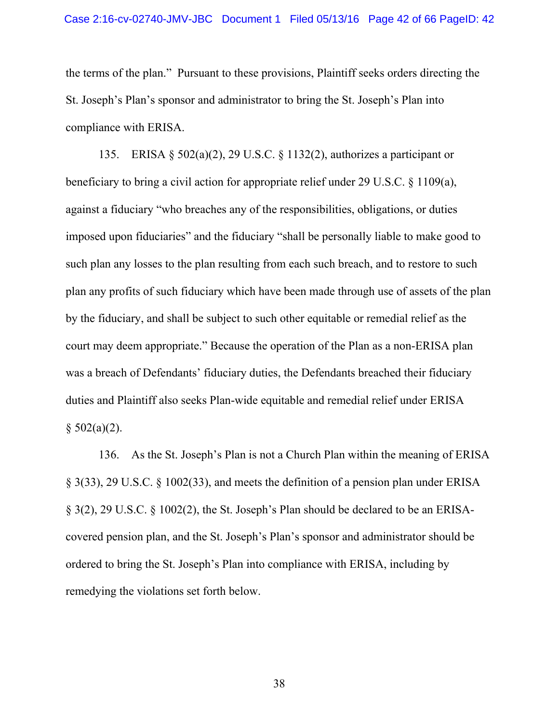the terms of the plan." Pursuant to these provisions, Plaintiff seeks orders directing the St. Joseph's Plan's sponsor and administrator to bring the St. Joseph's Plan into compliance with ERISA.

135. ERISA § 502(a)(2), 29 U.S.C. § 1132(2), authorizes a participant or beneficiary to bring a civil action for appropriate relief under 29 U.S.C. § 1109(a), against a fiduciary "who breaches any of the responsibilities, obligations, or duties imposed upon fiduciaries" and the fiduciary "shall be personally liable to make good to such plan any losses to the plan resulting from each such breach, and to restore to such plan any profits of such fiduciary which have been made through use of assets of the plan by the fiduciary, and shall be subject to such other equitable or remedial relief as the court may deem appropriate." Because the operation of the Plan as a non-ERISA plan was a breach of Defendants' fiduciary duties, the Defendants breached their fiduciary duties and Plaintiff also seeks Plan-wide equitable and remedial relief under ERISA  $§ 502(a)(2)$ .

136. As the St. Joseph's Plan is not a Church Plan within the meaning of ERISA § 3(33), 29 U.S.C. § 1002(33), and meets the definition of a pension plan under ERISA § 3(2), 29 U.S.C. § 1002(2), the St. Joseph's Plan should be declared to be an ERISAcovered pension plan, and the St. Joseph's Plan's sponsor and administrator should be ordered to bring the St. Joseph's Plan into compliance with ERISA, including by remedying the violations set forth below.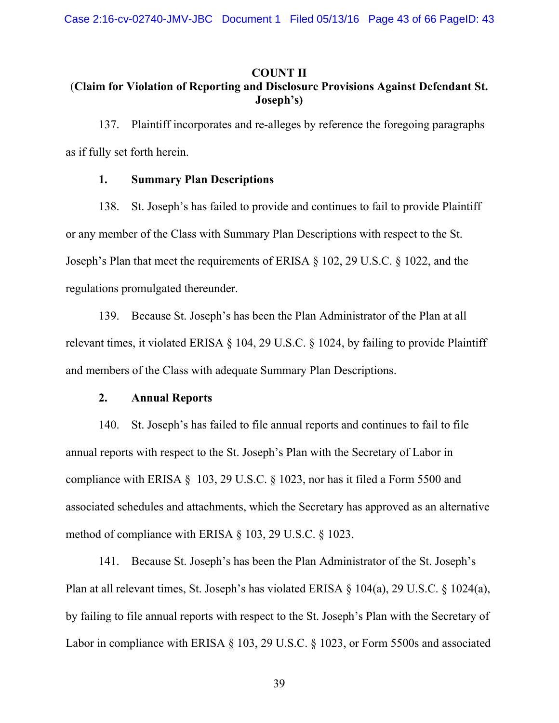#### **COUNT II**

### (**Claim for Violation of Reporting and Disclosure Provisions Against Defendant St. Joseph's)**

137. Plaintiff incorporates and re-alleges by reference the foregoing paragraphs as if fully set forth herein.

#### **1. Summary Plan Descriptions**

138. St. Joseph's has failed to provide and continues to fail to provide Plaintiff or any member of the Class with Summary Plan Descriptions with respect to the St. Joseph's Plan that meet the requirements of ERISA § 102, 29 U.S.C. § 1022, and the regulations promulgated thereunder.

139. Because St. Joseph's has been the Plan Administrator of the Plan at all relevant times, it violated ERISA § 104, 29 U.S.C. § 1024, by failing to provide Plaintiff and members of the Class with adequate Summary Plan Descriptions.

#### **2. Annual Reports**

140. St. Joseph's has failed to file annual reports and continues to fail to file annual reports with respect to the St. Joseph's Plan with the Secretary of Labor in compliance with ERISA § 103, 29 U.S.C. § 1023, nor has it filed a Form 5500 and associated schedules and attachments, which the Secretary has approved as an alternative method of compliance with ERISA § 103, 29 U.S.C. § 1023.

141. Because St. Joseph's has been the Plan Administrator of the St. Joseph's Plan at all relevant times, St. Joseph's has violated ERISA § 104(a), 29 U.S.C. § 1024(a), by failing to file annual reports with respect to the St. Joseph's Plan with the Secretary of Labor in compliance with ERISA § 103, 29 U.S.C. § 1023, or Form 5500s and associated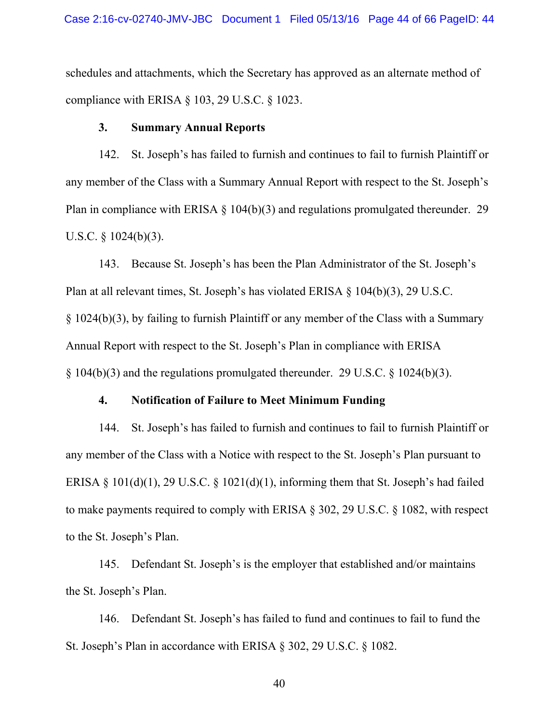schedules and attachments, which the Secretary has approved as an alternate method of compliance with ERISA § 103, 29 U.S.C. § 1023.

#### **3. Summary Annual Reports**

142. St. Joseph's has failed to furnish and continues to fail to furnish Plaintiff or any member of the Class with a Summary Annual Report with respect to the St. Joseph's Plan in compliance with ERISA  $\S$  104(b)(3) and regulations promulgated thereunder. 29 U.S.C. § 1024(b)(3).

143. Because St. Joseph's has been the Plan Administrator of the St. Joseph's Plan at all relevant times, St. Joseph's has violated ERISA § 104(b)(3), 29 U.S.C. § 1024(b)(3), by failing to furnish Plaintiff or any member of the Class with a Summary Annual Report with respect to the St. Joseph's Plan in compliance with ERISA § 104(b)(3) and the regulations promulgated thereunder. 29 U.S.C. § 1024(b)(3).

#### **4. Notification of Failure to Meet Minimum Funding**

144. St. Joseph's has failed to furnish and continues to fail to furnish Plaintiff or any member of the Class with a Notice with respect to the St. Joseph's Plan pursuant to ERISA  $\S$  101(d)(1), 29 U.S.C.  $\S$  1021(d)(1), informing them that St. Joseph's had failed to make payments required to comply with ERISA § 302, 29 U.S.C. § 1082, with respect to the St. Joseph's Plan.

145. Defendant St. Joseph's is the employer that established and/or maintains the St. Joseph's Plan.

146. Defendant St. Joseph's has failed to fund and continues to fail to fund the St. Joseph's Plan in accordance with ERISA § 302, 29 U.S.C. § 1082.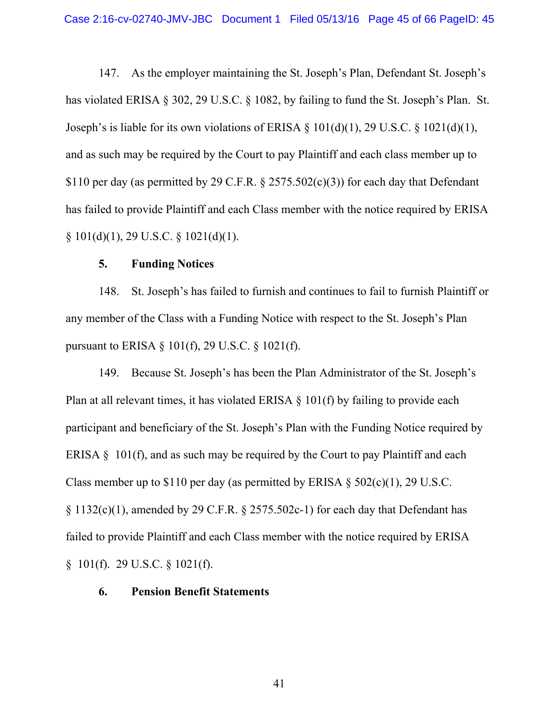147. As the employer maintaining the St. Joseph's Plan, Defendant St. Joseph's has violated ERISA § 302, 29 U.S.C. § 1082, by failing to fund the St. Joseph's Plan. St. Joseph's is liable for its own violations of ERISA  $\S$  101(d)(1), 29 U.S.C.  $\S$  1021(d)(1), and as such may be required by the Court to pay Plaintiff and each class member up to \$110 per day (as permitted by 29 C.F.R.  $\S$  2575.502(c)(3)) for each day that Defendant has failed to provide Plaintiff and each Class member with the notice required by ERISA  $§ 101(d)(1), 29 U.S.C. § 1021(d)(1).$ 

#### **5. Funding Notices**

148. St. Joseph's has failed to furnish and continues to fail to furnish Plaintiff or any member of the Class with a Funding Notice with respect to the St. Joseph's Plan pursuant to ERISA § 101(f), 29 U.S.C. § 1021(f).

149. Because St. Joseph's has been the Plan Administrator of the St. Joseph's Plan at all relevant times, it has violated ERISA  $\S$  101(f) by failing to provide each participant and beneficiary of the St. Joseph's Plan with the Funding Notice required by ERISA  $\S$  101(f), and as such may be required by the Court to pay Plaintiff and each Class member up to \$110 per day (as permitted by ERISA  $\S$  502(c)(1), 29 U.S.C.  $§ 1132(c)(1)$ , amended by 29 C.F.R.  $§ 2575.502c-1)$  for each day that Defendant has failed to provide Plaintiff and each Class member with the notice required by ERISA  $§ 101(f)$ . 29 U.S.C. § 1021(f).

#### **6. Pension Benefit Statements**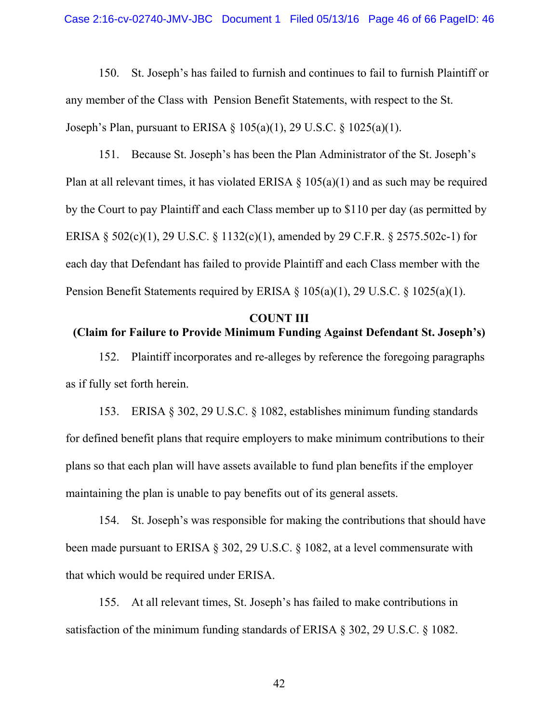150. St. Joseph's has failed to furnish and continues to fail to furnish Plaintiff or any member of the Class with Pension Benefit Statements, with respect to the St. Joseph's Plan, pursuant to ERISA § 105(a)(1), 29 U.S.C. § 1025(a)(1).

151. Because St. Joseph's has been the Plan Administrator of the St. Joseph's Plan at all relevant times, it has violated ERISA  $\S$  105(a)(1) and as such may be required by the Court to pay Plaintiff and each Class member up to \$110 per day (as permitted by ERISA § 502(c)(1), 29 U.S.C. § 1132(c)(1), amended by 29 C.F.R. § 2575.502c-1) for each day that Defendant has failed to provide Plaintiff and each Class member with the Pension Benefit Statements required by ERISA  $\S$  105(a)(1), 29 U.S.C.  $\S$  1025(a)(1).

### **COUNT III (Claim for Failure to Provide Minimum Funding Against Defendant St. Joseph's)**

152. Plaintiff incorporates and re-alleges by reference the foregoing paragraphs as if fully set forth herein.

153. ERISA § 302, 29 U.S.C. § 1082, establishes minimum funding standards for defined benefit plans that require employers to make minimum contributions to their plans so that each plan will have assets available to fund plan benefits if the employer maintaining the plan is unable to pay benefits out of its general assets.

154. St. Joseph's was responsible for making the contributions that should have been made pursuant to ERISA § 302, 29 U.S.C. § 1082, at a level commensurate with that which would be required under ERISA.

155. At all relevant times, St. Joseph's has failed to make contributions in satisfaction of the minimum funding standards of ERISA § 302, 29 U.S.C. § 1082.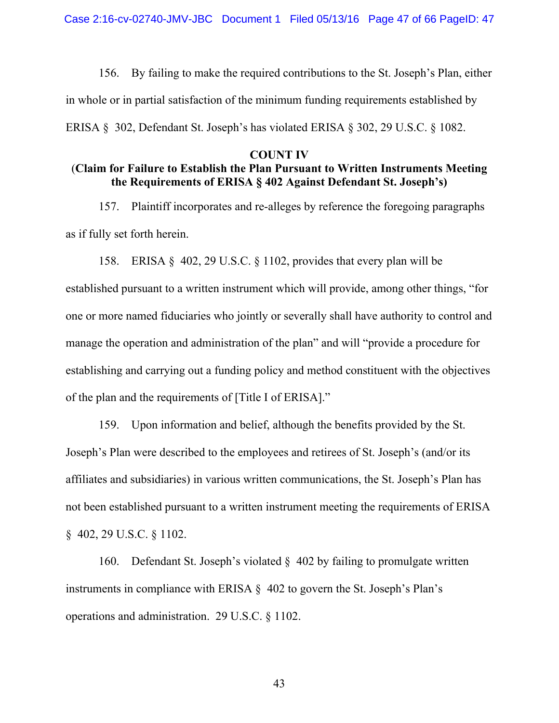156. By failing to make the required contributions to the St. Joseph's Plan, either in whole or in partial satisfaction of the minimum funding requirements established by ERISA § 302, Defendant St. Joseph's has violated ERISA § 302, 29 U.S.C. § 1082.

#### **COUNT IV**

### (**Claim for Failure to Establish the Plan Pursuant to Written Instruments Meeting the Requirements of ERISA § 402 Against Defendant St. Joseph's)**

157. Plaintiff incorporates and re-alleges by reference the foregoing paragraphs as if fully set forth herein.

158. ERISA § 402, 29 U.S.C. § 1102, provides that every plan will be established pursuant to a written instrument which will provide, among other things, "for one or more named fiduciaries who jointly or severally shall have authority to control and manage the operation and administration of the plan" and will "provide a procedure for establishing and carrying out a funding policy and method constituent with the objectives of the plan and the requirements of [Title I of ERISA]."

159. Upon information and belief, although the benefits provided by the St. Joseph's Plan were described to the employees and retirees of St. Joseph's (and/or its affiliates and subsidiaries) in various written communications, the St. Joseph's Plan has not been established pursuant to a written instrument meeting the requirements of ERISA § 402, 29 U.S.C. § 1102.

160. Defendant St. Joseph's violated § 402 by failing to promulgate written instruments in compliance with ERISA § 402 to govern the St. Joseph's Plan's operations and administration. 29 U.S.C. § 1102.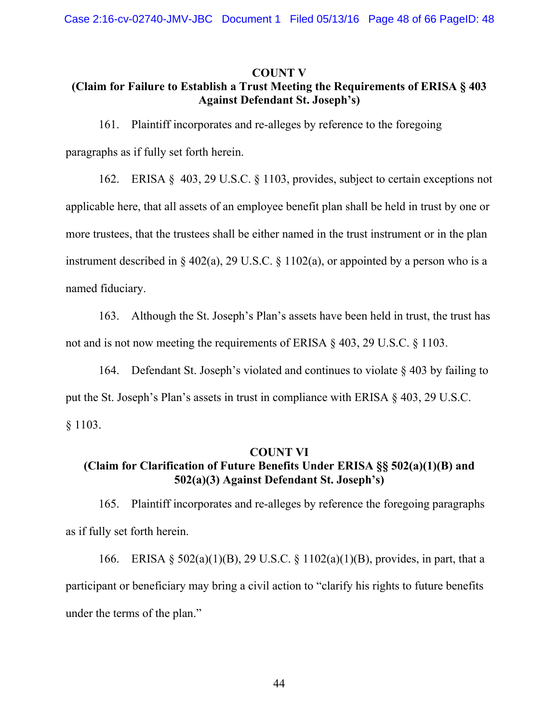#### **COUNT V**

### **(Claim for Failure to Establish a Trust Meeting the Requirements of ERISA § 403 Against Defendant St. Joseph's)**

161. Plaintiff incorporates and re-alleges by reference to the foregoing paragraphs as if fully set forth herein.

162. ERISA § 403, 29 U.S.C. § 1103, provides, subject to certain exceptions not applicable here, that all assets of an employee benefit plan shall be held in trust by one or more trustees, that the trustees shall be either named in the trust instrument or in the plan instrument described in  $\S 402(a)$ , 29 U.S.C.  $\S 1102(a)$ , or appointed by a person who is a named fiduciary.

163. Although the St. Joseph's Plan's assets have been held in trust, the trust has not and is not now meeting the requirements of ERISA § 403, 29 U.S.C. § 1103.

164. Defendant St. Joseph's violated and continues to violate § 403 by failing to put the St. Joseph's Plan's assets in trust in compliance with ERISA § 403, 29 U.S.C. § 1103.

#### **COUNT VI**

### **(Claim for Clarification of Future Benefits Under ERISA §§ 502(a)(1)(B) and 502(a)(3) Against Defendant St. Joseph's)**

165. Plaintiff incorporates and re-alleges by reference the foregoing paragraphs as if fully set forth herein.

166. ERISA § 502(a)(1)(B), 29 U.S.C. § 1102(a)(1)(B), provides, in part, that a participant or beneficiary may bring a civil action to "clarify his rights to future benefits under the terms of the plan."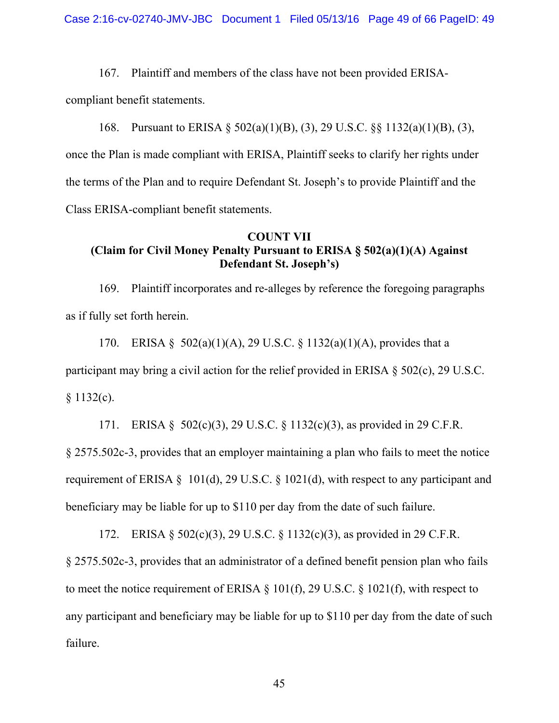Case 2:16-cv-02740-JMV-JBC Document 1 Filed 05/13/16 Page 49 of 66 PageID: 49

167. Plaintiff and members of the class have not been provided ERISA-

compliant benefit statements.

168. Pursuant to ERISA § 502(a)(1)(B), (3), 29 U.S.C. §§ 1132(a)(1)(B), (3), once the Plan is made compliant with ERISA, Plaintiff seeks to clarify her rights under the terms of the Plan and to require Defendant St. Joseph's to provide Plaintiff and the Class ERISA-compliant benefit statements.

### **COUNT VII (Claim for Civil Money Penalty Pursuant to ERISA § 502(a)(1)(A) Against Defendant St. Joseph's)**

169. Plaintiff incorporates and re-alleges by reference the foregoing paragraphs as if fully set forth herein.

170. ERISA § 502(a)(1)(A), 29 U.S.C. § 1132(a)(1)(A), provides that a participant may bring a civil action for the relief provided in ERISA § 502(c), 29 U.S.C.  $§ 1132(c).$ 

171. ERISA § 502(c)(3), 29 U.S.C. § 1132(c)(3), as provided in 29 C.F.R. § 2575.502c-3, provides that an employer maintaining a plan who fails to meet the notice requirement of ERISA § 101(d), 29 U.S.C. § 1021(d), with respect to any participant and beneficiary may be liable for up to \$110 per day from the date of such failure.

172. ERISA § 502(c)(3), 29 U.S.C. § 1132(c)(3), as provided in 29 C.F.R. § 2575.502c-3, provides that an administrator of a defined benefit pension plan who fails to meet the notice requirement of ERISA  $\S$  101(f), 29 U.S.C.  $\S$  1021(f), with respect to any participant and beneficiary may be liable for up to \$110 per day from the date of such failure.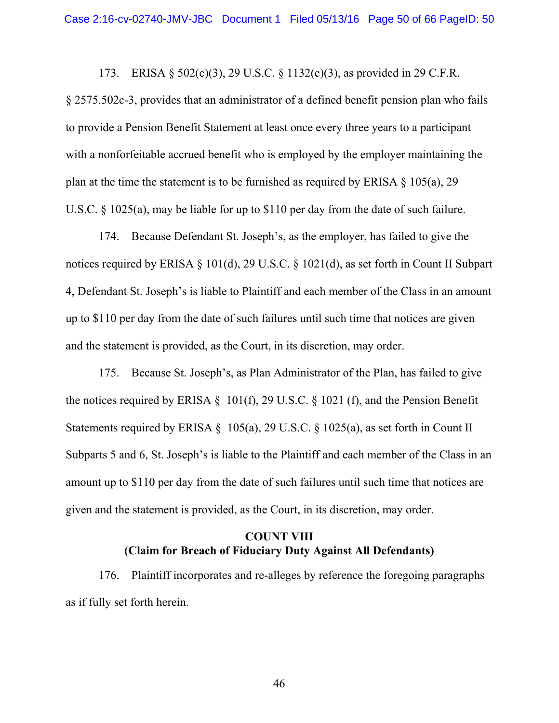173. ERISA § 502(c)(3), 29 U.S.C. § 1132(c)(3), as provided in 29 C.F.R.

§ 2575.502c-3, provides that an administrator of a defined benefit pension plan who fails to provide a Pension Benefit Statement at least once every three years to a participant with a nonforfeitable accrued benefit who is employed by the employer maintaining the plan at the time the statement is to be furnished as required by ERISA  $\S$  105(a), 29 U.S.C. § 1025(a), may be liable for up to \$110 per day from the date of such failure.

174. Because Defendant St. Joseph's, as the employer, has failed to give the notices required by ERISA § 101(d), 29 U.S.C. § 1021(d), as set forth in Count II Subpart 4, Defendant St. Joseph's is liable to Plaintiff and each member of the Class in an amount up to \$110 per day from the date of such failures until such time that notices are given and the statement is provided, as the Court, in its discretion, may order.

175. Because St. Joseph's, as Plan Administrator of the Plan, has failed to give the notices required by ERISA  $\S$  101(f), 29 U.S.C.  $\S$  1021 (f), and the Pension Benefit Statements required by ERISA  $\S$  105(a), 29 U.S.C.  $\S$  1025(a), as set forth in Count II Subparts 5 and 6, St. Joseph's is liable to the Plaintiff and each member of the Class in an amount up to \$110 per day from the date of such failures until such time that notices are given and the statement is provided, as the Court, in its discretion, may order.

### **COUNT VIII (Claim for Breach of Fiduciary Duty Against All Defendants)**

176. Plaintiff incorporates and re-alleges by reference the foregoing paragraphs as if fully set forth herein.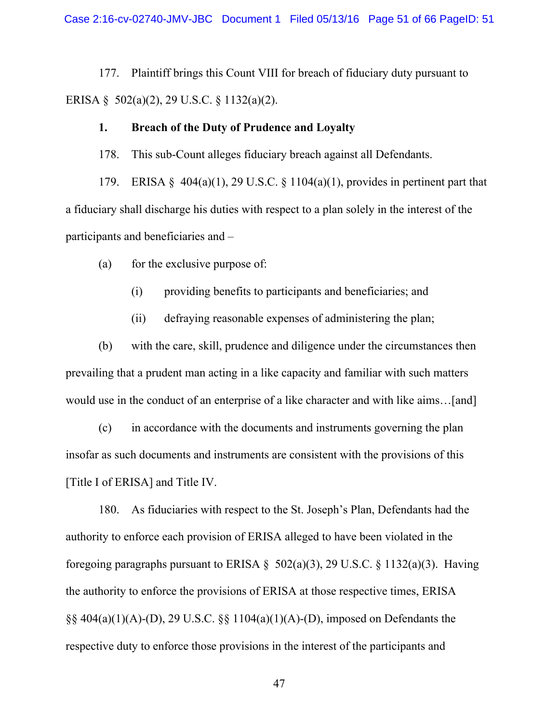Case 2:16-cv-02740-JMV-JBC Document 1 Filed 05/13/16 Page 51 of 66 PageID: 51

177. Plaintiff brings this Count VIII for breach of fiduciary duty pursuant to ERISA § 502(a)(2), 29 U.S.C. § 1132(a)(2).

#### **1. Breach of the Duty of Prudence and Loyalty**

178. This sub-Count alleges fiduciary breach against all Defendants.

179. ERISA § 404(a)(1), 29 U.S.C. § 1104(a)(1), provides in pertinent part that a fiduciary shall discharge his duties with respect to a plan solely in the interest of the participants and beneficiaries and –

(a) for the exclusive purpose of:

(i) providing benefits to participants and beneficiaries; and

(ii) defraying reasonable expenses of administering the plan;

(b) with the care, skill, prudence and diligence under the circumstances then prevailing that a prudent man acting in a like capacity and familiar with such matters would use in the conduct of an enterprise of a like character and with like aims…[and]

(c) in accordance with the documents and instruments governing the plan insofar as such documents and instruments are consistent with the provisions of this [Title I of ERISA] and Title IV.

180. As fiduciaries with respect to the St. Joseph's Plan, Defendants had the authority to enforce each provision of ERISA alleged to have been violated in the foregoing paragraphs pursuant to ERISA  $\S$  502(a)(3), 29 U.S.C.  $\S$  1132(a)(3). Having the authority to enforce the provisions of ERISA at those respective times, ERISA §§ 404(a)(1)(A)-(D), 29 U.S.C. §§ 1104(a)(1)(A)-(D), imposed on Defendants the respective duty to enforce those provisions in the interest of the participants and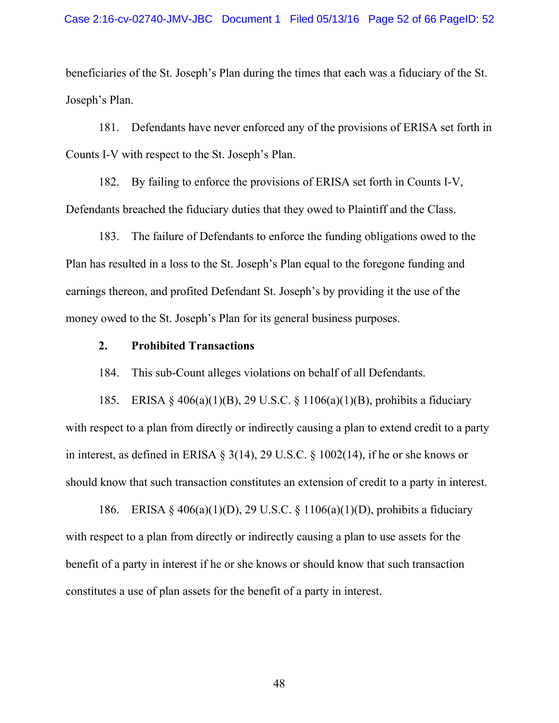beneficiaries of the St. Joseph's Plan during the times that each was a fiduciary of the St. Joseph's Plan.

181. Defendants have never enforced any of the provisions of ERISA set forth in Counts I-V with respect to the St. Joseph's Plan.

182. By failing to enforce the provisions of ERISA set forth in Counts I-V, Defendants breached the fiduciary duties that they owed to Plaintiff and the Class.

183. The failure of Defendants to enforce the funding obligations owed to the Plan has resulted in a loss to the St. Joseph's Plan equal to the foregone funding and earnings thereon, and profited Defendant St. Joseph's by providing it the use of the money owed to the St. Joseph's Plan for its general business purposes.

#### **2. Prohibited Transactions**

184. This sub-Count alleges violations on behalf of all Defendants.

185. ERISA § 406(a)(1)(B), 29 U.S.C. § 1106(a)(1)(B), prohibits a fiduciary with respect to a plan from directly or indirectly causing a plan to extend credit to a party in interest, as defined in ERISA § 3(14), 29 U.S.C. § 1002(14), if he or she knows or should know that such transaction constitutes an extension of credit to a party in interest.

186. ERISA § 406(a)(1)(D), 29 U.S.C. § 1106(a)(1)(D), prohibits a fiduciary with respect to a plan from directly or indirectly causing a plan to use assets for the benefit of a party in interest if he or she knows or should know that such transaction constitutes a use of plan assets for the benefit of a party in interest.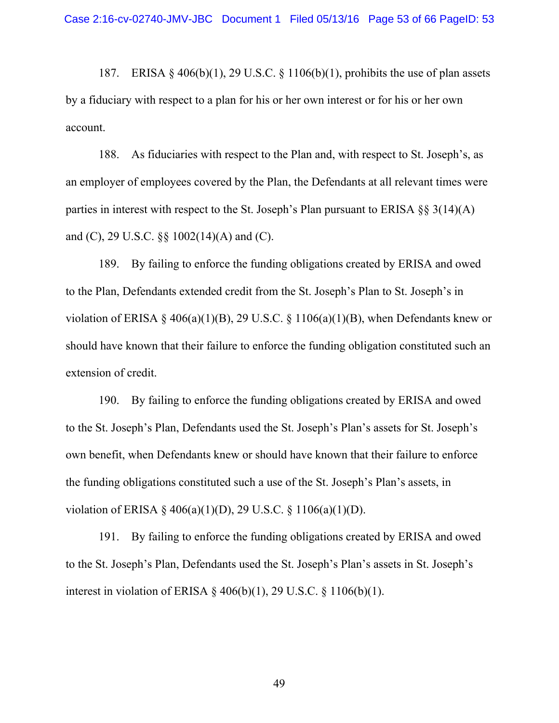187. ERISA § 406(b)(1), 29 U.S.C. § 1106(b)(1), prohibits the use of plan assets by a fiduciary with respect to a plan for his or her own interest or for his or her own account.

188. As fiduciaries with respect to the Plan and, with respect to St. Joseph's, as an employer of employees covered by the Plan, the Defendants at all relevant times were parties in interest with respect to the St. Joseph's Plan pursuant to ERISA §§ 3(14)(A) and (C), 29 U.S.C. §§ 1002(14)(A) and (C).

189. By failing to enforce the funding obligations created by ERISA and owed to the Plan, Defendants extended credit from the St. Joseph's Plan to St. Joseph's in violation of ERISA § 406(a)(1)(B), 29 U.S.C. § 1106(a)(1)(B), when Defendants knew or should have known that their failure to enforce the funding obligation constituted such an extension of credit.

190. By failing to enforce the funding obligations created by ERISA and owed to the St. Joseph's Plan, Defendants used the St. Joseph's Plan's assets for St. Joseph's own benefit, when Defendants knew or should have known that their failure to enforce the funding obligations constituted such a use of the St. Joseph's Plan's assets, in violation of ERISA § 406(a)(1)(D), 29 U.S.C. § 1106(a)(1)(D).

191. By failing to enforce the funding obligations created by ERISA and owed to the St. Joseph's Plan, Defendants used the St. Joseph's Plan's assets in St. Joseph's interest in violation of ERISA § 406(b)(1), 29 U.S.C. § 1106(b)(1).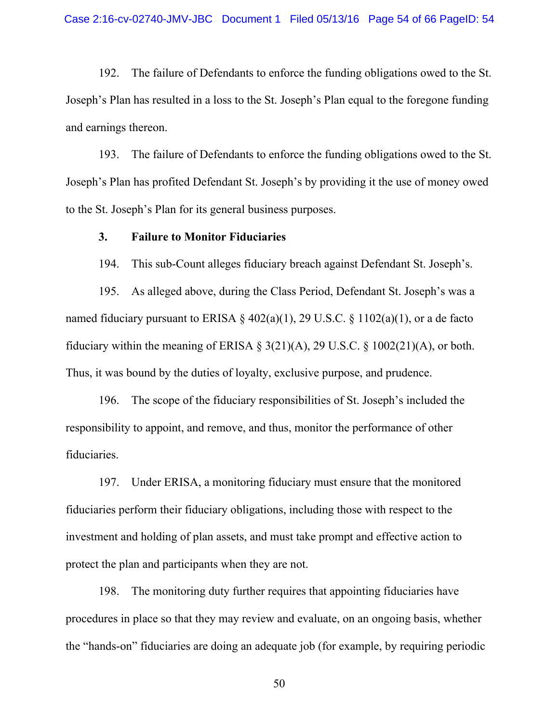192. The failure of Defendants to enforce the funding obligations owed to the St. Joseph's Plan has resulted in a loss to the St. Joseph's Plan equal to the foregone funding and earnings thereon.

193. The failure of Defendants to enforce the funding obligations owed to the St. Joseph's Plan has profited Defendant St. Joseph's by providing it the use of money owed to the St. Joseph's Plan for its general business purposes.

#### **3. Failure to Monitor Fiduciaries**

194. This sub-Count alleges fiduciary breach against Defendant St. Joseph's.

195. As alleged above, during the Class Period, Defendant St. Joseph's was a named fiduciary pursuant to ERISA  $\S$  402(a)(1), 29 U.S.C.  $\S$  1102(a)(1), or a de facto fiduciary within the meaning of ERISA  $\S 3(21)(A)$ , 29 U.S.C.  $\S 1002(21)(A)$ , or both. Thus, it was bound by the duties of loyalty, exclusive purpose, and prudence.

196. The scope of the fiduciary responsibilities of St. Joseph's included the responsibility to appoint, and remove, and thus, monitor the performance of other fiduciaries.

197. Under ERISA, a monitoring fiduciary must ensure that the monitored fiduciaries perform their fiduciary obligations, including those with respect to the investment and holding of plan assets, and must take prompt and effective action to protect the plan and participants when they are not.

198. The monitoring duty further requires that appointing fiduciaries have procedures in place so that they may review and evaluate, on an ongoing basis, whether the "hands-on" fiduciaries are doing an adequate job (for example, by requiring periodic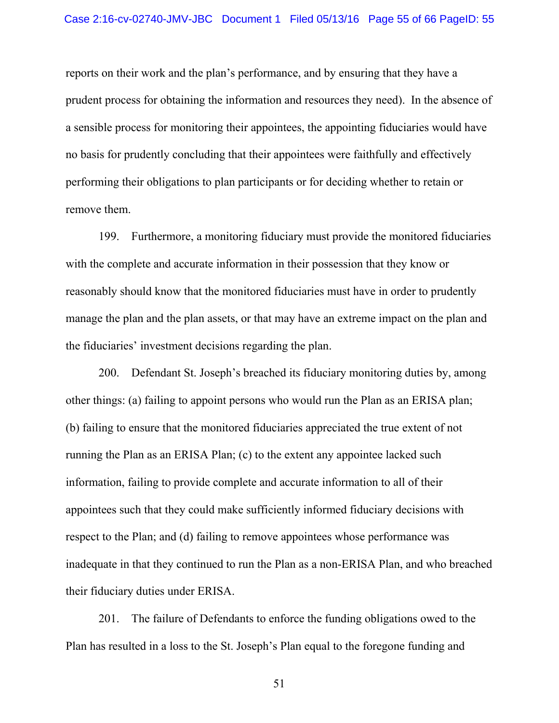reports on their work and the plan's performance, and by ensuring that they have a prudent process for obtaining the information and resources they need). In the absence of a sensible process for monitoring their appointees, the appointing fiduciaries would have no basis for prudently concluding that their appointees were faithfully and effectively performing their obligations to plan participants or for deciding whether to retain or remove them.

199. Furthermore, a monitoring fiduciary must provide the monitored fiduciaries with the complete and accurate information in their possession that they know or reasonably should know that the monitored fiduciaries must have in order to prudently manage the plan and the plan assets, or that may have an extreme impact on the plan and the fiduciaries' investment decisions regarding the plan.

200. Defendant St. Joseph's breached its fiduciary monitoring duties by, among other things: (a) failing to appoint persons who would run the Plan as an ERISA plan; (b) failing to ensure that the monitored fiduciaries appreciated the true extent of not running the Plan as an ERISA Plan; (c) to the extent any appointee lacked such information, failing to provide complete and accurate information to all of their appointees such that they could make sufficiently informed fiduciary decisions with respect to the Plan; and (d) failing to remove appointees whose performance was inadequate in that they continued to run the Plan as a non-ERISA Plan, and who breached their fiduciary duties under ERISA.

201. The failure of Defendants to enforce the funding obligations owed to the Plan has resulted in a loss to the St. Joseph's Plan equal to the foregone funding and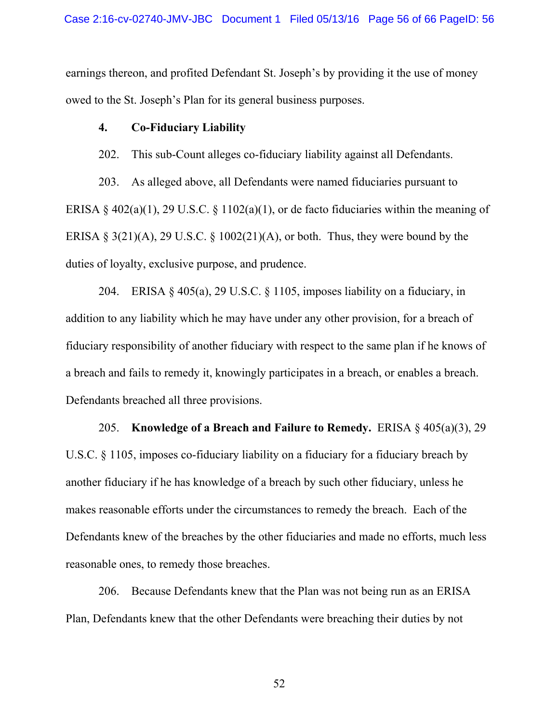earnings thereon, and profited Defendant St. Joseph's by providing it the use of money owed to the St. Joseph's Plan for its general business purposes.

#### **4. Co-Fiduciary Liability**

202. This sub-Count alleges co-fiduciary liability against all Defendants.

203. As alleged above, all Defendants were named fiduciaries pursuant to ERISA §  $402(a)(1)$ , 29 U.S.C. § 1102(a)(1), or de facto fiduciaries within the meaning of ERISA § 3(21)(A), 29 U.S.C. § 1002(21)(A), or both. Thus, they were bound by the duties of loyalty, exclusive purpose, and prudence.

204. ERISA  $\S$  405(a), 29 U.S.C.  $\S$  1105, imposes liability on a fiduciary, in addition to any liability which he may have under any other provision, for a breach of fiduciary responsibility of another fiduciary with respect to the same plan if he knows of a breach and fails to remedy it, knowingly participates in a breach, or enables a breach. Defendants breached all three provisions.

205. **Knowledge of a Breach and Failure to Remedy.** ERISA § 405(a)(3), 29 U.S.C. § 1105, imposes co-fiduciary liability on a fiduciary for a fiduciary breach by another fiduciary if he has knowledge of a breach by such other fiduciary, unless he makes reasonable efforts under the circumstances to remedy the breach. Each of the Defendants knew of the breaches by the other fiduciaries and made no efforts, much less reasonable ones, to remedy those breaches.

206. Because Defendants knew that the Plan was not being run as an ERISA Plan, Defendants knew that the other Defendants were breaching their duties by not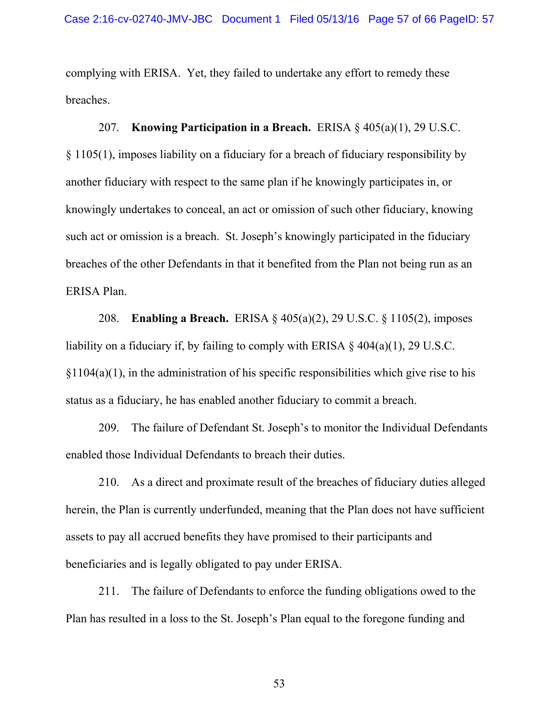complying with ERISA. Yet, they failed to undertake any effort to remedy these breaches.

207. **Knowing Participation in a Breach.** ERISA § 405(a)(1), 29 U.S.C. § 1105(1), imposes liability on a fiduciary for a breach of fiduciary responsibility by another fiduciary with respect to the same plan if he knowingly participates in, or knowingly undertakes to conceal, an act or omission of such other fiduciary, knowing such act or omission is a breach. St. Joseph's knowingly participated in the fiduciary breaches of the other Defendants in that it benefited from the Plan not being run as an ERISA Plan.

208. **Enabling a Breach.** ERISA § 405(a)(2), 29 U.S.C. § 1105(2), imposes liability on a fiduciary if, by failing to comply with ERISA  $\S$  404(a)(1), 29 U.S.C.  $\{1104(a)(1)$ , in the administration of his specific responsibilities which give rise to his status as a fiduciary, he has enabled another fiduciary to commit a breach.

209. The failure of Defendant St. Joseph's to monitor the Individual Defendants enabled those Individual Defendants to breach their duties.

210. As a direct and proximate result of the breaches of fiduciary duties alleged herein, the Plan is currently underfunded, meaning that the Plan does not have sufficient assets to pay all accrued benefits they have promised to their participants and beneficiaries and is legally obligated to pay under ERISA.

211. The failure of Defendants to enforce the funding obligations owed to the Plan has resulted in a loss to the St. Joseph's Plan equal to the foregone funding and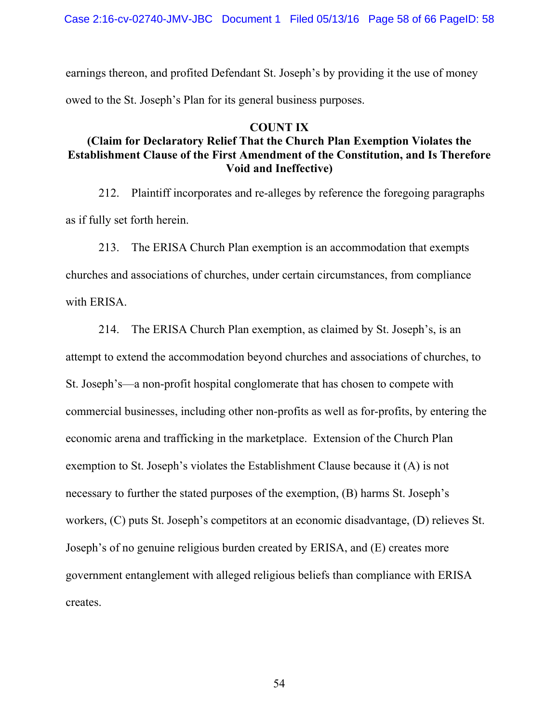earnings thereon, and profited Defendant St. Joseph's by providing it the use of money owed to the St. Joseph's Plan for its general business purposes.

#### **COUNT IX**

### **(Claim for Declaratory Relief That the Church Plan Exemption Violates the Establishment Clause of the First Amendment of the Constitution, and Is Therefore Void and Ineffective)**

212. Plaintiff incorporates and re-alleges by reference the foregoing paragraphs as if fully set forth herein.

213. The ERISA Church Plan exemption is an accommodation that exempts churches and associations of churches, under certain circumstances, from compliance with ERISA.

214. The ERISA Church Plan exemption, as claimed by St. Joseph's, is an attempt to extend the accommodation beyond churches and associations of churches, to St. Joseph's—a non-profit hospital conglomerate that has chosen to compete with commercial businesses, including other non-profits as well as for-profits, by entering the economic arena and trafficking in the marketplace. Extension of the Church Plan exemption to St. Joseph's violates the Establishment Clause because it (A) is not necessary to further the stated purposes of the exemption, (B) harms St. Joseph's workers, (C) puts St. Joseph's competitors at an economic disadvantage, (D) relieves St. Joseph's of no genuine religious burden created by ERISA, and (E) creates more government entanglement with alleged religious beliefs than compliance with ERISA creates.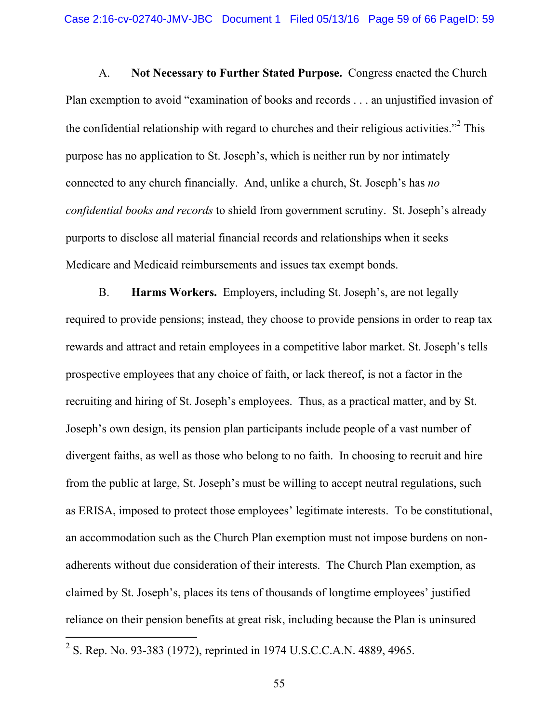A. **Not Necessary to Further Stated Purpose.** Congress enacted the Church Plan exemption to avoid "examination of books and records . . . an unjustified invasion of the confidential relationship with regard to churches and their religious activities."<sup>2</sup> This purpose has no application to St. Joseph's, which is neither run by nor intimately connected to any church financially. And, unlike a church, St. Joseph's has *no confidential books and records* to shield from government scrutiny. St. Joseph's already purports to disclose all material financial records and relationships when it seeks Medicare and Medicaid reimbursements and issues tax exempt bonds.

B. **Harms Workers.** Employers, including St. Joseph's, are not legally required to provide pensions; instead, they choose to provide pensions in order to reap tax rewards and attract and retain employees in a competitive labor market. St. Joseph's tells prospective employees that any choice of faith, or lack thereof, is not a factor in the recruiting and hiring of St. Joseph's employees. Thus, as a practical matter, and by St. Joseph's own design, its pension plan participants include people of a vast number of divergent faiths, as well as those who belong to no faith. In choosing to recruit and hire from the public at large, St. Joseph's must be willing to accept neutral regulations, such as ERISA, imposed to protect those employees' legitimate interests. To be constitutional, an accommodation such as the Church Plan exemption must not impose burdens on nonadherents without due consideration of their interests. The Church Plan exemption, as claimed by St. Joseph's, places its tens of thousands of longtime employees' justified reliance on their pension benefits at great risk, including because the Plan is uninsured

 $\overline{a}$ 

<sup>&</sup>lt;sup>2</sup> S. Rep. No. 93-383 (1972), reprinted in 1974 U.S.C.C.A.N. 4889, 4965.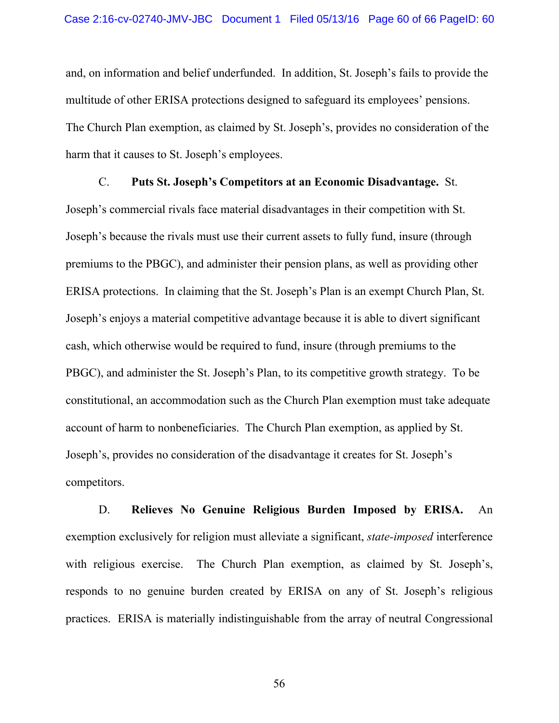and, on information and belief underfunded. In addition, St. Joseph's fails to provide the multitude of other ERISA protections designed to safeguard its employees' pensions. The Church Plan exemption, as claimed by St. Joseph's, provides no consideration of the harm that it causes to St. Joseph's employees.

C. **Puts St. Joseph's Competitors at an Economic Disadvantage.** St. Joseph's commercial rivals face material disadvantages in their competition with St. Joseph's because the rivals must use their current assets to fully fund, insure (through premiums to the PBGC), and administer their pension plans, as well as providing other ERISA protections. In claiming that the St. Joseph's Plan is an exempt Church Plan, St. Joseph's enjoys a material competitive advantage because it is able to divert significant cash, which otherwise would be required to fund, insure (through premiums to the PBGC), and administer the St. Joseph's Plan, to its competitive growth strategy. To be constitutional, an accommodation such as the Church Plan exemption must take adequate account of harm to nonbeneficiaries. The Church Plan exemption, as applied by St. Joseph's, provides no consideration of the disadvantage it creates for St. Joseph's competitors.

D. **Relieves No Genuine Religious Burden Imposed by ERISA.** An exemption exclusively for religion must alleviate a significant, *state-imposed* interference with religious exercise. The Church Plan exemption, as claimed by St. Joseph's, responds to no genuine burden created by ERISA on any of St. Joseph's religious practices. ERISA is materially indistinguishable from the array of neutral Congressional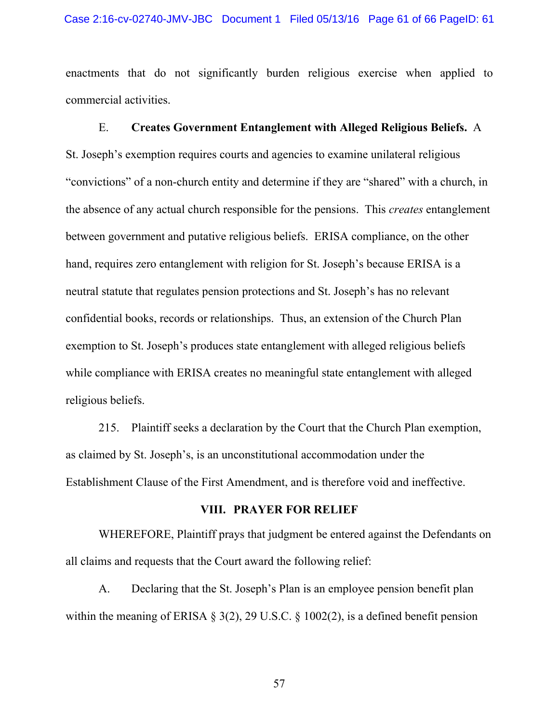### Case 2:16-cv-02740-JMV-JBC Document 1 Filed 05/13/16 Page 61 of 66 PageID: 61

enactments that do not significantly burden religious exercise when applied to commercial activities.

# E. **Creates Government Entanglement with Alleged Religious Beliefs.** A

St. Joseph's exemption requires courts and agencies to examine unilateral religious "convictions" of a non-church entity and determine if they are "shared" with a church, in the absence of any actual church responsible for the pensions. This *creates* entanglement between government and putative religious beliefs. ERISA compliance, on the other hand, requires zero entanglement with religion for St. Joseph's because ERISA is a neutral statute that regulates pension protections and St. Joseph's has no relevant confidential books, records or relationships. Thus, an extension of the Church Plan exemption to St. Joseph's produces state entanglement with alleged religious beliefs while compliance with ERISA creates no meaningful state entanglement with alleged religious beliefs.

215. Plaintiff seeks a declaration by the Court that the Church Plan exemption, as claimed by St. Joseph's, is an unconstitutional accommodation under the Establishment Clause of the First Amendment, and is therefore void and ineffective.

#### **VIII. PRAYER FOR RELIEF**

WHEREFORE, Plaintiff prays that judgment be entered against the Defendants on all claims and requests that the Court award the following relief:

A. Declaring that the St. Joseph's Plan is an employee pension benefit plan within the meaning of ERISA § 3(2), 29 U.S.C. § 1002(2), is a defined benefit pension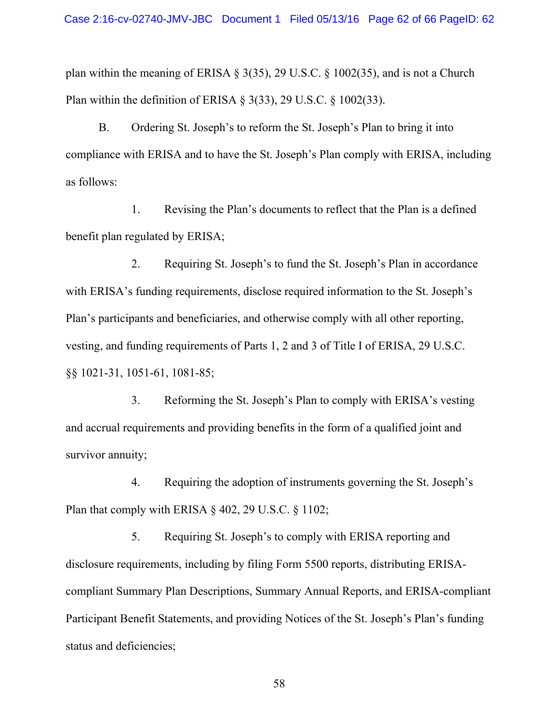plan within the meaning of ERISA § 3(35), 29 U.S.C. § 1002(35), and is not a Church Plan within the definition of ERISA § 3(33), 29 U.S.C. § 1002(33).

B. Ordering St. Joseph's to reform the St. Joseph's Plan to bring it into compliance with ERISA and to have the St. Joseph's Plan comply with ERISA, including as follows:

1. Revising the Plan's documents to reflect that the Plan is a defined benefit plan regulated by ERISA;

2. Requiring St. Joseph's to fund the St. Joseph's Plan in accordance with ERISA's funding requirements, disclose required information to the St. Joseph's Plan's participants and beneficiaries, and otherwise comply with all other reporting, vesting, and funding requirements of Parts 1, 2 and 3 of Title I of ERISA, 29 U.S.C. §§ 1021-31, 1051-61, 1081-85;

3. Reforming the St. Joseph's Plan to comply with ERISA's vesting and accrual requirements and providing benefits in the form of a qualified joint and survivor annuity;

4. Requiring the adoption of instruments governing the St. Joseph's Plan that comply with ERISA § 402, 29 U.S.C. § 1102;

5. Requiring St. Joseph's to comply with ERISA reporting and disclosure requirements, including by filing Form 5500 reports, distributing ERISAcompliant Summary Plan Descriptions, Summary Annual Reports, and ERISA-compliant Participant Benefit Statements, and providing Notices of the St. Joseph's Plan's funding status and deficiencies;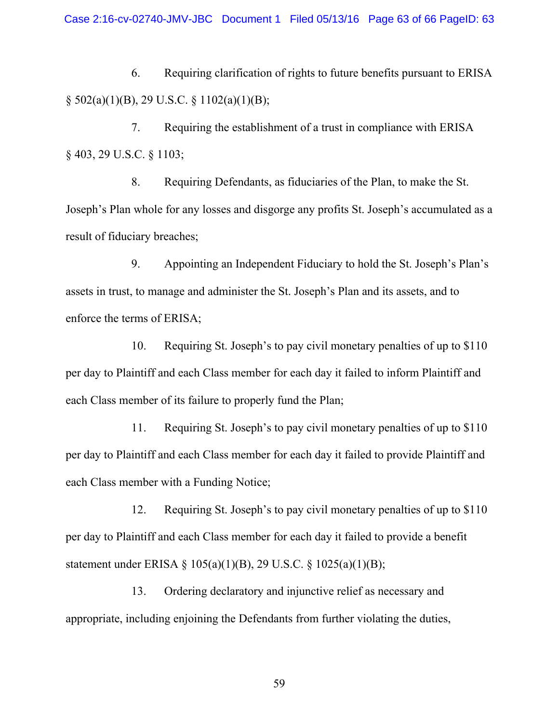6. Requiring clarification of rights to future benefits pursuant to ERISA § 502(a)(1)(B), 29 U.S.C. § 1102(a)(1)(B);

7. Requiring the establishment of a trust in compliance with ERISA § 403, 29 U.S.C. § 1103;

8. Requiring Defendants, as fiduciaries of the Plan, to make the St. Joseph's Plan whole for any losses and disgorge any profits St. Joseph's accumulated as a result of fiduciary breaches;

9. Appointing an Independent Fiduciary to hold the St. Joseph's Plan's assets in trust, to manage and administer the St. Joseph's Plan and its assets, and to enforce the terms of ERISA;

10. Requiring St. Joseph's to pay civil monetary penalties of up to \$110 per day to Plaintiff and each Class member for each day it failed to inform Plaintiff and each Class member of its failure to properly fund the Plan;

11. Requiring St. Joseph's to pay civil monetary penalties of up to \$110 per day to Plaintiff and each Class member for each day it failed to provide Plaintiff and each Class member with a Funding Notice;

12. Requiring St. Joseph's to pay civil monetary penalties of up to \$110 per day to Plaintiff and each Class member for each day it failed to provide a benefit statement under ERISA § 105(a)(1)(B), 29 U.S.C. § 1025(a)(1)(B);

13. Ordering declaratory and injunctive relief as necessary and appropriate, including enjoining the Defendants from further violating the duties,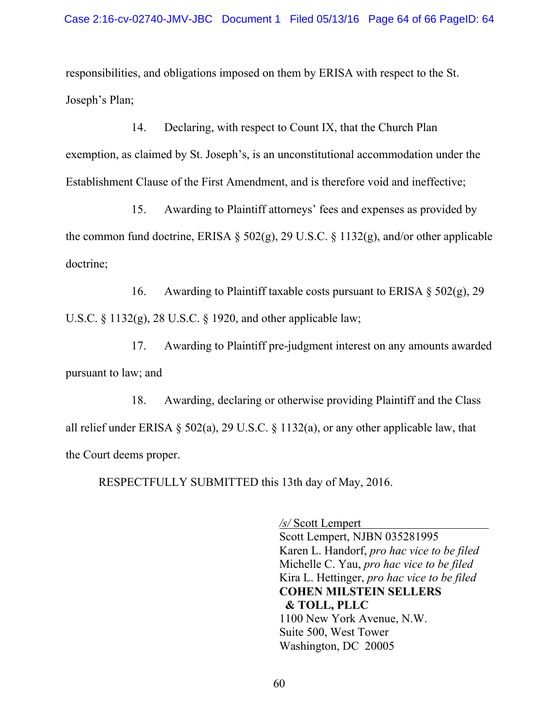responsibilities, and obligations imposed on them by ERISA with respect to the St. Joseph's Plan;

14. Declaring, with respect to Count IX, that the Church Plan exemption, as claimed by St. Joseph's, is an unconstitutional accommodation under the Establishment Clause of the First Amendment, and is therefore void and ineffective;

15. Awarding to Plaintiff attorneys' fees and expenses as provided by the common fund doctrine, ERISA  $\S$  502(g), 29 U.S.C.  $\S$  1132(g), and/or other applicable doctrine;

16. Awarding to Plaintiff taxable costs pursuant to ERISA  $\S 502(g)$ , 29 U.S.C. § 1132(g), 28 U.S.C. § 1920, and other applicable law;

17. Awarding to Plaintiff pre-judgment interest on any amounts awarded pursuant to law; and

18. Awarding, declaring or otherwise providing Plaintiff and the Class all relief under ERISA § 502(a), 29 U.S.C. § 1132(a), or any other applicable law, that the Court deems proper.

RESPECTFULLY SUBMITTED this 13th day of May, 2016.

*/s/* Scott Lempert Scott Lempert, NJBN 035281995 Karen L. Handorf, *pro hac vice to be filed* Michelle C. Yau, *pro hac vice to be filed* Kira L. Hettinger, *pro hac vice to be filed* **COHEN MILSTEIN SELLERS & TOLL, PLLC** 1100 New York Avenue, N.W. Suite 500, West Tower Washington, DC 20005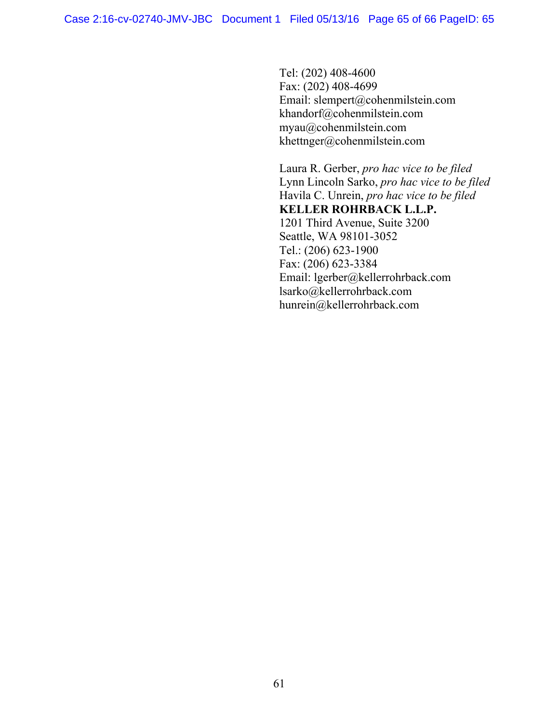Tel: (202) 408-4600 Fax: (202) 408-4699 Email: slempert@cohenmilstein.com khandorf@cohenmilstein.com myau@cohenmilstein.com khettnger@cohenmilstein.com

Laura R. Gerber, *pro hac vice to be filed* Lynn Lincoln Sarko, *pro hac vice to be filed*  Havila C. Unrein, *pro hac vice to be filed* **KELLER ROHRBACK L.L.P.** 1201 Third Avenue, Suite 3200 Seattle, WA 98101-3052 Tel.: (206) 623-1900 Fax: (206) 623-3384 Email: lgerber@kellerrohrback.com lsarko@kellerrohrback.com hunrein@kellerrohrback.com